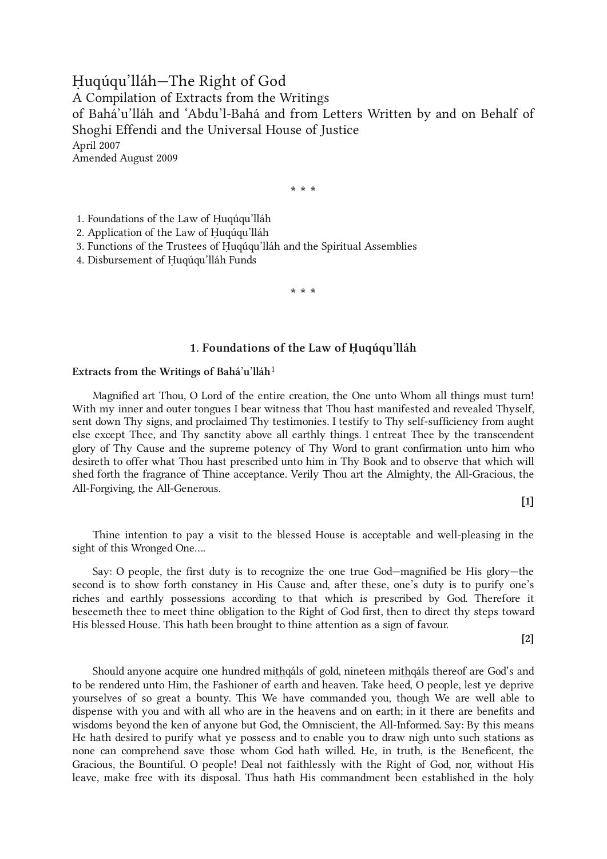## Ḥuqúqu'lláh—The Right of God A Compilation of Extracts from the Writings of Bahá'u'lláh and 'Abdu'l-Bahá and from Letters Written by and on Behalf of Shoghi Effendi and the Universal House of Justice April 2007 Amended August 2009

\* \* \*

1. Foundations of the Law of [Ḥuqúqu'lláh](#page-0-0)

2. Application of the Law of [Ḥuqúqu'lláh](#page-8-0)

3. Functions of the Trustees of [Ḥuqúqu'lláh](#page-21-0) and the Spiritual Assemblies

4. [Disbursement](#page-26-0) of Ḥuqúqu'lláh Funds

\* \* \*

#### <span id="page-0-0"></span>1. Foundations of the Law of Ḥuqúqu'lláh

#### <span id="page-0-1"></span>Extracts from the Writings of Bahá'u'lláh $^1$  $^1$

Magnified art Thou, O Lord of the entire creation, the One unto Whom all things must turn! With my inner and outer tongues I bear witness that Thou hast manifested and revealed Thyself, sent down Thy signs, and proclaimed Thy testimonies. I testify to Thy self-sufficiency from aught else except Thee, and Thy sanctity above all earthly things. I entreat Thee by the transcendent glory of Thy Cause and the supreme potency of Thy Word to grant confirmation unto him who desireth to offer what Thou hast prescribed unto him in Thy Book and to observe that which will shed forth the fragrance of Thine acceptance. Verily Thou art the Almighty, the All-Gracious, the All-Forgiving, the All-Generous.

[1]

Thine intention to pay a visit to the blessed House is acceptable and well-pleasing in the sight of this Wronged One….

Say: O people, the first duty is to recognize the one true God—magnified be His glory—the second is to show forth constancy in His Cause and, after these, one's duty is to purify one's riches and earthly possessions according to that which is prescribed by God. Therefore it beseemeth thee to meet thine obligation to the Right of God first, then to direct thy steps toward His blessed House. This hath been brought to thine attention as a sign of favour.

[2]

Should anyone acquire one hundred mithqáls of gold, nineteen mithqáls thereof are God's and to be rendered unto Him, the Fashioner of earth and heaven. Take heed, O people, lest ye deprive yourselves of so great a bounty. This We have commanded you, though We are well able to dispense with you and with all who are in the heavens and on earth; in it there are benefits and wisdoms beyond the ken of anyone but God, the Omniscient, the All-Informed. Say: By this means He hath desired to purify what ye possess and to enable you to draw nigh unto such stations as none can comprehend save those whom God hath willed. He, in truth, is the Beneficent, the Gracious, the Bountiful. O people! Deal not faithlessly with the Right of God, nor, without His leave, make free with its disposal. Thus hath His commandment been established in the holy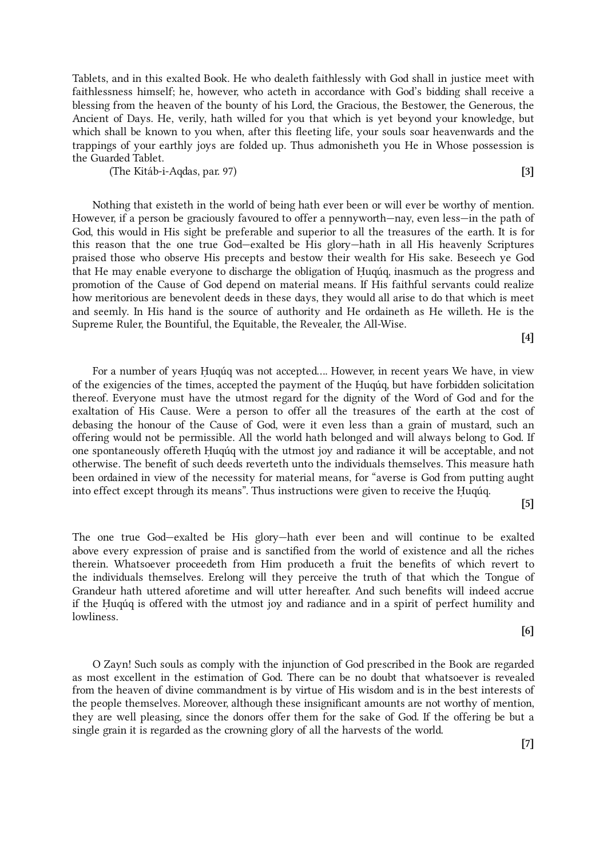Tablets, and in this exalted Book. He who dealeth faithlessly with God shall in justice meet with faithlessness himself; he, however, who acteth in accordance with God's bidding shall receive a blessing from the heaven of the bounty of his Lord, the Gracious, the Bestower, the Generous, the Ancient of Days. He, verily, hath willed for you that which is yet beyond your knowledge, but which shall be known to you when, after this fleeting life, your souls soar heavenwards and the trappings of your earthly joys are folded up. Thus admonisheth you He in Whose possession is the Guarded Tablet.

(The Kitáb-i-Aqdas, par. 97) [3]

Nothing that existeth in the world of being hath ever been or will ever be worthy of mention. However, if a person be graciously favoured to offer a pennyworth—nay, even less—in the path of God, this would in His sight be preferable and superior to all the treasures of the earth. It is for this reason that the one true God—exalted be His glory—hath in all His heavenly Scriptures praised those who observe His precepts and bestow their wealth for His sake. Beseech ye God that He may enable everyone to discharge the obligation of Ḥuqúq, inasmuch as the progress and promotion of the Cause of God depend on material means. If His faithful servants could realize how meritorious are benevolent deeds in these days, they would all arise to do that which is meet and seemly. In His hand is the source of authority and He ordaineth as He willeth. He is the Supreme Ruler, the Bountiful, the Equitable, the Revealer, the All-Wise.

For a number of years Ḥuqúq was not accepted…. However, in recent years We have, in view of the exigencies of the times, accepted the payment of the Ḥuqúq, but have forbidden solicitation thereof. Everyone must have the utmost regard for the dignity of the Word of God and for the exaltation of His Cause. Were a person to offer all the treasures of the earth at the cost of debasing the honour of the Cause of God, were it even less than a grain of mustard, such an offering would not be permissible. All the world hath belonged and will always belong to God. If one spontaneously offereth Ḥuqúq with the utmost joy and radiance it will be acceptable, and not otherwise. The benefit of such deeds reverteth unto the individuals themselves. This measure hath been ordained in view of the necessity for material means, for "averse is God from putting aught into effect except through its means". Thus instructions were given to receive the Ḥuqúq.

[5]

[4]

The one true God—exalted be His glory—hath ever been and will continue to be exalted above every expression of praise and is sanctified from the world of existence and all the riches therein. Whatsoever proceedeth from Him produceth a fruit the benefits of which revert to the individuals themselves. Erelong will they perceive the truth of that which the Tongue of Grandeur hath uttered aforetime and will utter hereafter. And such benefits will indeed accrue if the Ḥuqúq is offered with the utmost joy and radiance and in a spirit of perfect humility and lowliness.

[6]

O Zayn! Such souls as comply with the injunction of God prescribed in the Book are regarded as most excellent in the estimation of God. There can be no doubt that whatsoever is revealed from the heaven of divine commandment is by virtue of His wisdom and is in the best interests of the people themselves. Moreover, although these insignificant amounts are not worthy of mention, they are well pleasing, since the donors offer them for the sake of God. If the offering be but a single grain it is regarded as the crowning glory of all the harvests of the world.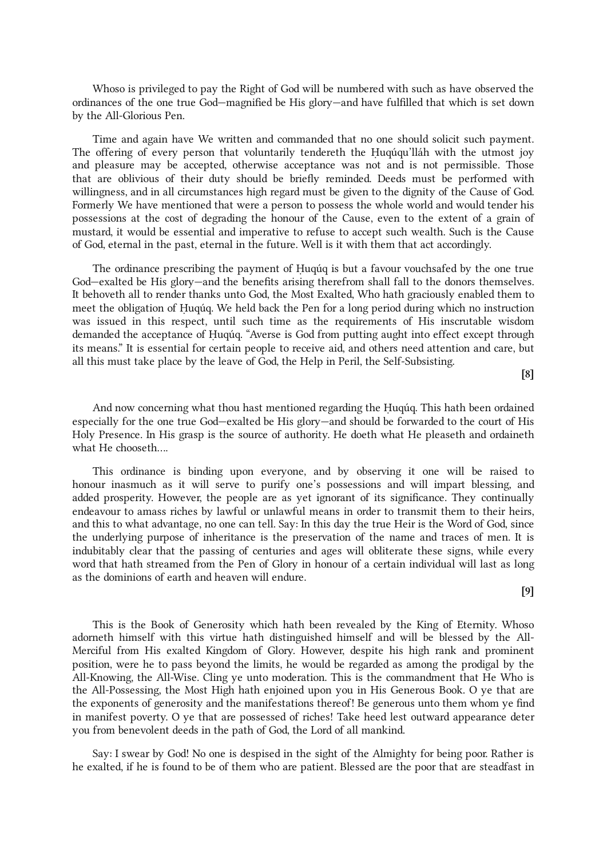Whoso is privileged to pay the Right of God will be numbered with such as have observed the ordinances of the one true God—magnified be His glory—and have fulfilled that which is set down by the All-Glorious Pen.

Time and again have We written and commanded that no one should solicit such payment. The offering of every person that voluntarily tendereth the Ḥuqúqu'lláh with the utmost joy and pleasure may be accepted, otherwise acceptance was not and is not permissible. Those that are oblivious of their duty should be briefly reminded. Deeds must be performed with willingness, and in all circumstances high regard must be given to the dignity of the Cause of God. Formerly We have mentioned that were a person to possess the whole world and would tender his possessions at the cost of degrading the honour of the Cause, even to the extent of a grain of mustard, it would be essential and imperative to refuse to accept such wealth. Such is the Cause of God, eternal in the past, eternal in the future. Well is it with them that act accordingly.

The ordinance prescribing the payment of Ḥuqúq is but a favour vouchsafed by the one true God—exalted be His glory—and the benefits arising therefrom shall fall to the donors themselves. It behoveth all to render thanks unto God, the Most Exalted, Who hath graciously enabled them to meet the obligation of Ḥuqúq. We held back the Pen for a long period during which no instruction was issued in this respect, until such time as the requirements of His inscrutable wisdom demanded the acceptance of Ḥuqúq. "Averse is God from putting aught into effect except through its means." It is essential for certain people to receive aid, and others need attention and care, but all this must take place by the leave of God, the Help in Peril, the Self-Subsisting.

[8]

And now concerning what thou hast mentioned regarding the Ḥuqúq. This hath been ordained especially for the one true God—exalted be His glory—and should be forwarded to the court of His Holy Presence. In His grasp is the source of authority. He doeth what He pleaseth and ordaineth what He chooseth….

This ordinance is binding upon everyone, and by observing it one will be raised to honour inasmuch as it will serve to purify one's possessions and will impart blessing, and added prosperity. However, the people are as yet ignorant of its significance. They continually endeavour to amass riches by lawful or unlawful means in order to transmit them to their heirs, and this to what advantage, no one can tell. Say: In this day the true Heir is the Word of God, since the underlying purpose of inheritance is the preservation of the name and traces of men. It is indubitably clear that the passing of centuries and ages will obliterate these signs, while every word that hath streamed from the Pen of Glory in honour of a certain individual will last as long as the dominions of earth and heaven will endure.

[9]

This is the Book of Generosity which hath been revealed by the King of Eternity. Whoso adorneth himself with this virtue hath distinguished himself and will be blessed by the All-Merciful from His exalted Kingdom of Glory. However, despite his high rank and prominent position, were he to pass beyond the limits, he would be regarded as among the prodigal by the All-Knowing, the All-Wise. Cling ye unto moderation. This is the commandment that He Who is the All-Possessing, the Most High hath enjoined upon you in His Generous Book. O ye that are the exponents of generosity and the manifestations thereof! Be generous unto them whom ye find in manifest poverty. O ye that are possessed of riches! Take heed lest outward appearance deter you from benevolent deeds in the path of God, the Lord of all mankind.

Say: I swear by God! No one is despised in the sight of the Almighty for being poor. Rather is he exalted, if he is found to be of them who are patient. Blessed are the poor that are steadfast in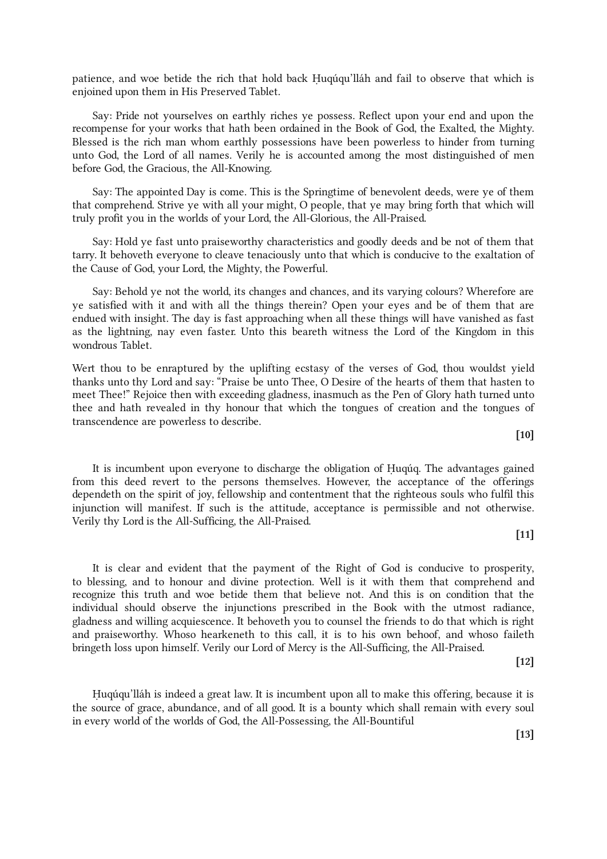patience, and woe betide the rich that hold back Ḥuqúqu'lláh and fail to observe that which is enjoined upon them in His Preserved Tablet.

Say: Pride not yourselves on earthly riches ye possess. Reflect upon your end and upon the recompense for your works that hath been ordained in the Book of God, the Exalted, the Mighty. Blessed is the rich man whom earthly possessions have been powerless to hinder from turning unto God, the Lord of all names. Verily he is accounted among the most distinguished of men before God, the Gracious, the All-Knowing.

Say: The appointed Day is come. This is the Springtime of benevolent deeds, were ye of them that comprehend. Strive ye with all your might, O people, that ye may bring forth that which will truly profit you in the worlds of your Lord, the All-Glorious, the All-Praised.

Say: Hold ye fast unto praiseworthy characteristics and goodly deeds and be not of them that tarry. It behoveth everyone to cleave tenaciously unto that which is conducive to the exaltation of the Cause of God, your Lord, the Mighty, the Powerful.

Say: Behold ye not the world, its changes and chances, and its varying colours? Wherefore are ye satisfied with it and with all the things therein? Open your eyes and be of them that are endued with insight. The day is fast approaching when all these things will have vanished as fast as the lightning, nay even faster. Unto this beareth witness the Lord of the Kingdom in this wondrous Tablet.

Wert thou to be enraptured by the uplifting ecstasy of the verses of God, thou wouldst yield thanks unto thy Lord and say: "Praise be unto Thee, O Desire of the hearts of them that hasten to meet Thee!" Rejoice then with exceeding gladness, inasmuch as the Pen of Glory hath turned unto thee and hath revealed in thy honour that which the tongues of creation and the tongues of transcendence are powerless to describe.

It is incumbent upon everyone to discharge the obligation of Ḥuqúq. The advantages gained from this deed revert to the persons themselves. However, the acceptance of the offerings dependeth on the spirit of joy, fellowship and contentment that the righteous souls who fulfil this injunction will manifest. If such is the attitude, acceptance is permissible and not otherwise. Verily thy Lord is the All-Sufficing, the All-Praised.

[11]

[10]

It is clear and evident that the payment of the Right of God is conducive to prosperity, to blessing, and to honour and divine protection. Well is it with them that comprehend and recognize this truth and woe betide them that believe not. And this is on condition that the individual should observe the injunctions prescribed in the Book with the utmost radiance, gladness and willing acquiescence. It behoveth you to counsel the friends to do that which is right and praiseworthy. Whoso hearkeneth to this call, it is to his own behoof, and whoso faileth bringeth loss upon himself. Verily our Lord of Mercy is the All-Sufficing, the All-Praised.

[12]

Ḥuqúqu'lláh is indeed a great law. It is incumbent upon all to make this offering, because it is the source of grace, abundance, and of all good. It is a bounty which shall remain with every soul in every world of the worlds of God, the All-Possessing, the All-Bountiful

[13]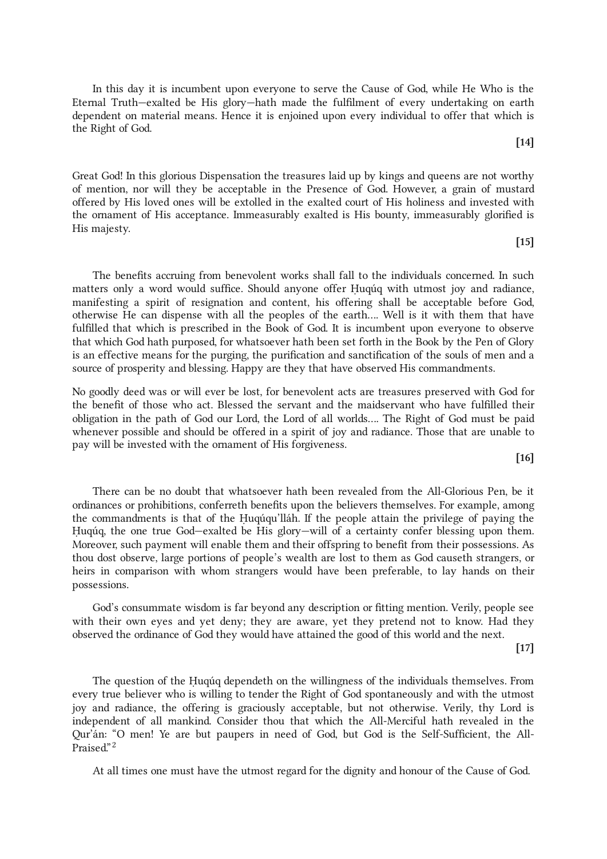In this day it is incumbent upon everyone to serve the Cause of God, while He Who is the Eternal Truth—exalted be His glory—hath made the fulfilment of every undertaking on earth dependent on material means. Hence it is enjoined upon every individual to offer that which is the Right of God.

Great God! In this glorious Dispensation the treasures laid up by kings and queens are not worthy of mention, nor will they be acceptable in the Presence of God. However, a grain of mustard offered by His loved ones will be extolled in the exalted court of His holiness and invested with the ornament of His acceptance. Immeasurably exalted is His bounty, immeasurably glorified is His majesty.

[15]

[14]

The benefits accruing from benevolent works shall fall to the individuals concerned. In such matters only a word would suffice. Should anyone offer Ḥuqúq with utmost joy and radiance, manifesting a spirit of resignation and content, his offering shall be acceptable before God, otherwise He can dispense with all the peoples of the earth.... Well is it with them that have fulfilled that which is prescribed in the Book of God. It is incumbent upon everyone to observe that which God hath purposed, for whatsoever hath been set forth in the Book by the Pen of Glory is an effective means for the purging, the purification and sanctification of the souls of men and a source of prosperity and blessing. Happy are they that have observed His commandments.

No goodly deed was or will ever be lost, for benevolent acts are treasures preserved with God for the benefit of those who act. Blessed the servant and the maidservant who have fulfilled their obligation in the path of God our Lord, the Lord of all worlds.... The Right of God must be paid whenever possible and should be offered in a spirit of joy and radiance. Those that are unable to pay will be invested with the ornament of His forgiveness.

[16]

There can be no doubt that whatsoever hath been revealed from the All-Glorious Pen, be it ordinances or prohibitions, conferreth benefits upon the believers themselves. For example, among the commandments is that of the Ḥuqúqu'lláh. If the people attain the privilege of paying the Huquq, the one true God-exalted be His glory—will of a certainty confer blessing upon them. Moreover, such payment will enable them and their offspring to benefit from their possessions. As thou dost observe, large portions of people's wealth are lost to them as God causeth strangers, or heirs in comparison with whom strangers would have been preferable, to lay hands on their possessions.

God's consummate wisdom is far beyond any description or fitting mention. Verily, people see with their own eyes and yet deny; they are aware, yet they pretend not to know. Had they observed the ordinance of God they would have attained the good of this world and the next.

[17]

<span id="page-4-0"></span>The question of the Ḥuqúq dependeth on the willingness of the individuals themselves. From every true believer who is willing to tender the Right of God spontaneously and with the utmost joy and radiance, the offering is graciously acceptable, but not otherwise. Verily, thy Lord is independent of all mankind. Consider thou that which the All-Merciful hath revealed in the Qur'án: "O men! Ye are but paupers in need of God, but God is the Self-Sufficient, the All-Praised."<sup>[2](#page-30-1)</sup>

At all times one must have the utmost regard for the dignity and honour of the Cause of God.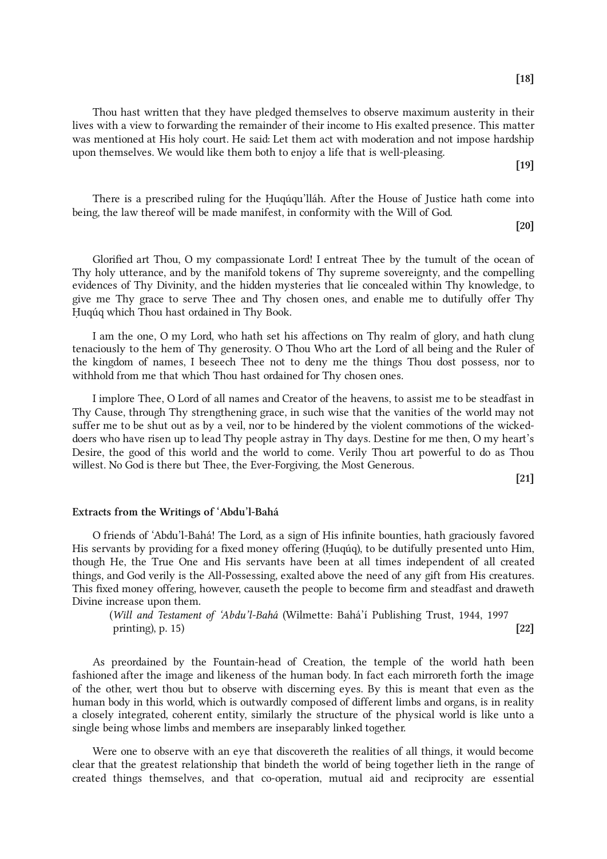Thou hast written that they have pledged themselves to observe maximum austerity in their lives with a view to forwarding the remainder of their income to His exalted presence. This matter was mentioned at His holy court. He said: Let them act with moderation and not impose hardship upon themselves. We would like them both to enjoy a life that is well-pleasing.

[19]

There is a prescribed ruling for the Ḥuqúqu'lláh. After the House of Justice hath come into being, the law thereof will be made manifest, in conformity with the Will of God.

[20]

Glorified art Thou, O my compassionate Lord! I entreat Thee by the tumult of the ocean of Thy holy utterance, and by the manifold tokens of Thy supreme sovereignty, and the compelling evidences of Thy Divinity, and the hidden mysteries that lie concealed within Thy knowledge, to give me Thy grace to serve Thee and Thy chosen ones, and enable me to dutifully offer Thy Ḥuqúq which Thou hast ordained in Thy Book.

I am the one, O my Lord, who hath set his affections on Thy realm of glory, and hath clung tenaciously to the hem of Thy generosity. O Thou Who art the Lord of all being and the Ruler of the kingdom of names, I beseech Thee not to deny me the things Thou dost possess, nor to withhold from me that which Thou hast ordained for Thy chosen ones.

I implore Thee, O Lord of all names and Creator of the heavens, to assist me to be steadfast in Thy Cause, through Thy strengthening grace, in such wise that the vanities of the world may not suffer me to be shut out as by a veil, nor to be hindered by the violent commotions of the wickeddoers who have risen up to lead Thy people astray in Thy days. Destine for me then, O my heart's Desire, the good of this world and the world to come. Verily Thou art powerful to do as Thou willest. No God is there but Thee, the Ever-Forgiving, the Most Generous.

[21]

#### Extracts from the Writings of 'Abdu'l-Bahá

O friends of 'Abdu'l-Bahá! The Lord, as a sign of His infinite bounties, hath graciously favored His servants by providing for a fixed money offering (Ḥuqúq), to be dutifully presented unto Him, though He, the True One and His servants have been at all times independent of all created things, and God verily is the All-Possessing, exalted above the need of any gift from His creatures. This fixed money offering, however, causeth the people to become firm and steadfast and draweth Divine increase upon them.

(Will and Testament of 'Abdu'l-Bahá (Wilmette: Bahá'í Publishing Trust, 1944, 1997 printing), p. 15)  $[22]$ 

As preordained by the Fountain-head of Creation, the temple of the world hath been fashioned after the image and likeness of the human body. In fact each mirroreth forth the image of the other, wert thou but to observe with discerning eyes. By this is meant that even as the human body in this world, which is outwardly composed of different limbs and organs, is in reality a closely integrated, coherent entity, similarly the structure of the physical world is like unto a single being whose limbs and members are inseparably linked together.

Were one to observe with an eye that discovereth the realities of all things, it would become clear that the greatest relationship that bindeth the world of being together lieth in the range of created things themselves, and that co-operation, mutual aid and reciprocity are essential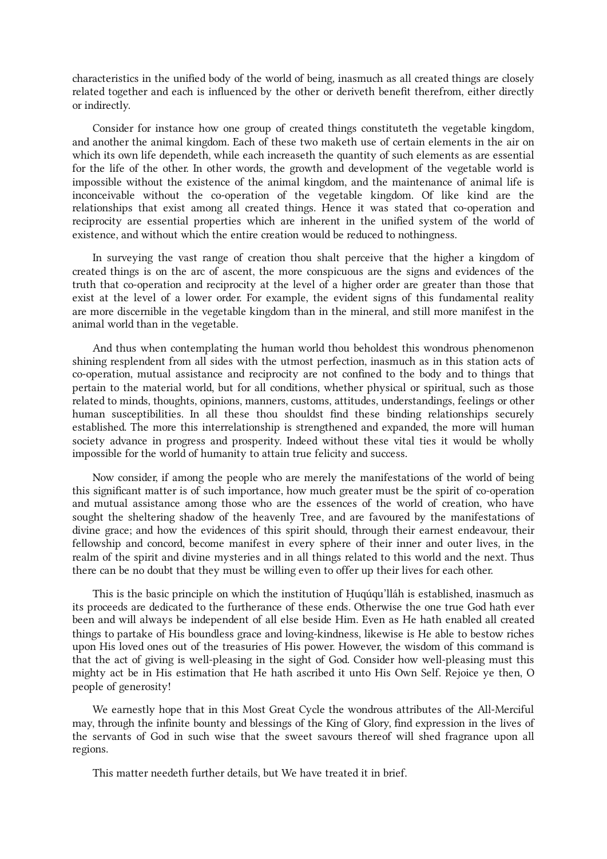characteristics in the unified body of the world of being, inasmuch as all created things are closely related together and each is influenced by the other or deriveth benefit therefrom, either directly or indirectly.

Consider for instance how one group of created things constituteth the vegetable kingdom, and another the animal kingdom. Each of these two maketh use of certain elements in the air on which its own life dependeth, while each increaseth the quantity of such elements as are essential for the life of the other. In other words, the growth and development of the vegetable world is impossible without the existence of the animal kingdom, and the maintenance of animal life is inconceivable without the co-operation of the vegetable kingdom. Of like kind are the relationships that exist among all created things. Hence it was stated that co-operation and reciprocity are essential properties which are inherent in the unified system of the world of existence, and without which the entire creation would be reduced to nothingness.

In surveying the vast range of creation thou shalt perceive that the higher a kingdom of created things is on the arc of ascent, the more conspicuous are the signs and evidences of the truth that co-operation and reciprocity at the level of a higher order are greater than those that exist at the level of a lower order. For example, the evident signs of this fundamental reality are more discernible in the vegetable kingdom than in the mineral, and still more manifest in the animal world than in the vegetable.

And thus when contemplating the human world thou beholdest this wondrous phenomenon shining resplendent from all sides with the utmost perfection, inasmuch as in this station acts of co-operation, mutual assistance and reciprocity are not confined to the body and to things that pertain to the material world, but for all conditions, whether physical or spiritual, such as those related to minds, thoughts, opinions, manners, customs, attitudes, understandings, feelings or other human susceptibilities. In all these thou shouldst find these binding relationships securely established. The more this interrelationship is strengthened and expanded, the more will human society advance in progress and prosperity. Indeed without these vital ties it would be wholly impossible for the world of humanity to attain true felicity and success.

Now consider, if among the people who are merely the manifestations of the world of being this significant matter is of such importance, how much greater must be the spirit of co-operation and mutual assistance among those who are the essences of the world of creation, who have sought the sheltering shadow of the heavenly Tree, and are favoured by the manifestations of divine grace; and how the evidences of this spirit should, through their earnest endeavour, their fellowship and concord, become manifest in every sphere of their inner and outer lives, in the realm of the spirit and divine mysteries and in all things related to this world and the next. Thus there can be no doubt that they must be willing even to offer up their lives for each other.

This is the basic principle on which the institution of Ḥuqúqu'lláh is established, inasmuch as its proceeds are dedicated to the furtherance of these ends. Otherwise the one true God hath ever been and will always be independent of all else beside Him. Even as He hath enabled all created things to partake of His boundless grace and loving-kindness, likewise is He able to bestow riches upon His loved ones out of the treasuries of His power. However, the wisdom of this command is that the act of giving is well-pleasing in the sight of God. Consider how well-pleasing must this mighty act be in His estimation that He hath ascribed it unto His Own Self. Rejoice ye then, O people of generosity!

We earnestly hope that in this Most Great Cycle the wondrous attributes of the All-Merciful may, through the infinite bounty and blessings of the King of Glory, find expression in the lives of the servants of God in such wise that the sweet savours thereof will shed fragrance upon all regions.

This matter needeth further details, but We have treated it in brief.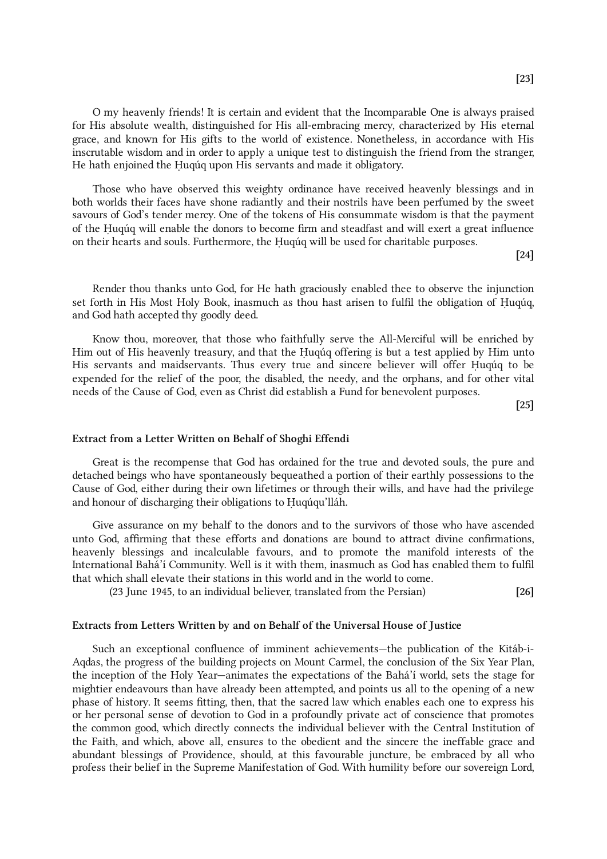O my heavenly friends! It is certain and evident that the Incomparable One is always praised for His absolute wealth, distinguished for His all-embracing mercy, characterized by His eternal grace, and known for His gifts to the world of existence. Nonetheless, in accordance with His inscrutable wisdom and in order to apply a unique test to distinguish the friend from the stranger, He hath enjoined the Ḥuqúq upon His servants and made it obligatory.

Those who have observed this weighty ordinance have received heavenly blessings and in both worlds their faces have shone radiantly and their nostrils have been perfumed by the sweet savours of God's tender mercy. One of the tokens of His consummate wisdom is that the payment of the Ḥuqúq will enable the donors to become firm and steadfast and will exert a great influence on their hearts and souls. Furthermore, the Ḥuqúq will be used for charitable purposes.

[24]

Render thou thanks unto God, for He hath graciously enabled thee to observe the injunction set forth in His Most Holy Book, inasmuch as thou hast arisen to fulfil the obligation of Ḥuqúq, and God hath accepted thy goodly deed.

Know thou, moreover, that those who faithfully serve the All-Merciful will be enriched by Him out of His heavenly treasury, and that the Ḥuqúq offering is but a test applied by Him unto His servants and maidservants. Thus every true and sincere believer will offer Ḥuqúq to be expended for the relief of the poor, the disabled, the needy, and the orphans, and for other vital needs of the Cause of God, even as Christ did establish a Fund for benevolent purposes.

[25]

#### Extract from a Letter Written on Behalf of Shoghi Effendi

Great is the recompense that God has ordained for the true and devoted souls, the pure and detached beings who have spontaneously bequeathed a portion of their earthly possessions to the Cause of God, either during their own lifetimes or through their wills, and have had the privilege and honour of discharging their obligations to Ḥuqúqu'lláh.

Give assurance on my behalf to the donors and to the survivors of those who have ascended unto God, affirming that these efforts and donations are bound to attract divine confirmations, heavenly blessings and incalculable favours, and to promote the manifold interests of the International Bahá'í Community. Well is it with them, inasmuch as God has enabled them to fulfil that which shall elevate their stations in this world and in the world to come.

(23 June 1945, to an individual believer, translated from the Persian) [26]

#### Extracts from Letters Written by and on Behalf of the Universal House of Justice

Such an exceptional confluence of imminent achievements—the publication of the Kitáb-i-Aqdas, the progress of the building projects on Mount Carmel, the conclusion of the Six Year Plan, the inception of the Holy Year—animates the expectations of the Bahá'í world, sets the stage for mightier endeavours than have already been attempted, and points us all to the opening of a new phase of history. It seems fitting, then, that the sacred law which enables each one to express his or her personal sense of devotion to God in a profoundly private act of conscience that promotes the common good, which directly connects the individual believer with the Central Institution of the Faith, and which, above all, ensures to the obedient and the sincere the ineffable grace and abundant blessings of Providence, should, at this favourable juncture, be embraced by all who profess their belief in the Supreme Manifestation of God. With humility before our sovereign Lord,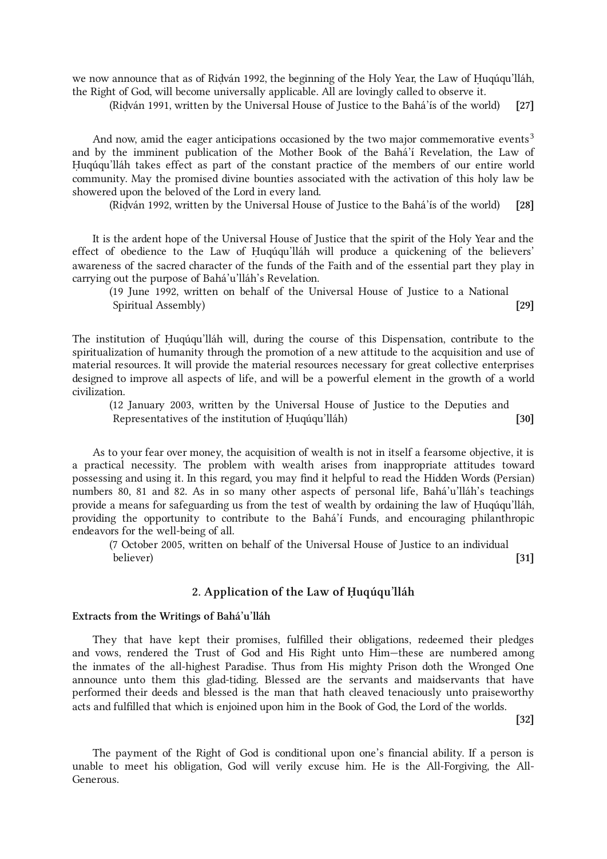we now announce that as of Riḍván 1992, the beginning of the Holy Year, the Law of Ḥuqúqu'lláh, the Right of God, will become universally applicable. All are lovingly called to observe it.

(Riḍván 1991, written by the Universal House of Justice to the Bahá'ís of the world) [27]

<span id="page-8-1"></span>And now, amid the eager anticipations occasioned by the two major commemorative events<sup>[3](#page-30-2)</sup> and by the imminent publication of the Mother Book of the Bahá'í Revelation, the Law of Ḥuqúqu'lláh takes effect as part of the constant practice of the members of our entire world community. May the promised divine bounties associated with the activation of this holy law be showered upon the beloved of the Lord in every land.

(Riḍván 1992, written by the Universal House of Justice to the Bahá'ís of the world) [28]

It is the ardent hope of the Universal House of Justice that the spirit of the Holy Year and the effect of obedience to the Law of Ḥuqúqu'lláh will produce a quickening of the believers' awareness of the sacred character of the funds of the Faith and of the essential part they play in carrying out the purpose of Bahá'u'lláh's Revelation.

(19 June 1992, written on behalf of the Universal House of Justice to a National Spiritual Assembly) [29]

The institution of Ḥuqúqu'lláh will, during the course of this Dispensation, contribute to the spiritualization of humanity through the promotion of a new attitude to the acquisition and use of material resources. It will provide the material resources necessary for great collective enterprises designed to improve all aspects of life, and will be a powerful element in the growth of a world civilization.

(12 January 2003, written by the Universal House of Justice to the Deputies and Representatives of the institution of Huqúqu'lláh) [30]

As to your fear over money, the acquisition of wealth is not in itself a fearsome objective, it is a practical necessity. The problem with wealth arises from inappropriate attitudes toward possessing and using it. In this regard, you may find it helpful to read the Hidden Words (Persian) numbers 80, 81 and 82. As in so many other aspects of personal life, Bahá'u'lláh's teachings provide a means for safeguarding us from the test of wealth by ordaining the law of Ḥuqúqu'lláh, providing the opportunity to contribute to the Bahá'í Funds, and encouraging philanthropic endeavors for the well-being of all.

(7 October 2005, written on behalf of the Universal House of Justice to an individual believer) [31] [31] **http://www.fractional.com/** 

### <span id="page-8-0"></span>2. Application of the Law of Ḥuqúqu'lláh

#### Extracts from the Writings of Bahá'u'lláh

They that have kept their promises, fulfilled their obligations, redeemed their pledges and vows, rendered the Trust of God and His Right unto Him—these are numbered among the inmates of the all-highest Paradise. Thus from His mighty Prison doth the Wronged One announce unto them this glad-tiding. Blessed are the servants and maidservants that have performed their deeds and blessed is the man that hath cleaved tenaciously unto praiseworthy acts and fulfilled that which is enjoined upon him in the Book of God, the Lord of the worlds.

[32]

The payment of the Right of God is conditional upon one's financial ability. If a person is unable to meet his obligation, God will verily excuse him. He is the All-Forgiving, the All-Generous.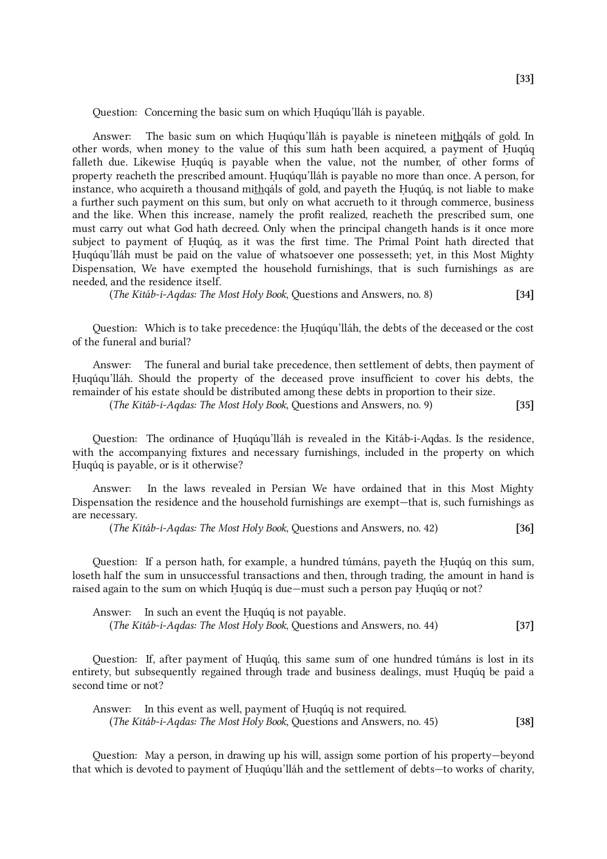Question: Concerning the basic sum on which Ḥuqúqu'lláh is payable.

Answer: The basic sum on which Huqúqu'lláh is payable is nineteen mithqáls of gold. In other words, when money to the value of this sum hath been acquired, a payment of Ḥuqúq falleth due. Likewise Huqúq is payable when the value, not the number, of other forms of property reacheth the prescribed amount. Ḥuqúqu'lláh is payable no more than once. A person, for instance, who acquireth a thousand mithqáls of gold, and payeth the Ḥuqúq, is not liable to make a further such payment on this sum, but only on what accrueth to it through commerce, business and the like. When this increase, namely the profit realized, reacheth the prescribed sum, one must carry out what God hath decreed. Only when the principal changeth hands is it once more subject to payment of Ḥuqúq, as it was the first time. The Primal Point hath directed that Ḥuqúqu'lláh must be paid on the value of whatsoever one possesseth; yet, in this Most Mighty Dispensation, We have exempted the household furnishings, that is such furnishings as are needed, and the residence itself.

(The Kitáb-i-Aqdas: The Most Holy Book, Questions and Answers, no. 8) [34]

Question: Which is to take precedence: the Ḥuqúqu'lláh, the debts of the deceased or the cost of the funeral and burial?

Answer: The funeral and burial take precedence, then settlement of debts, then payment of Ḥuqúqu'lláh. Should the property of the deceased prove insufficient to cover his debts, the remainder of his estate should be distributed among these debts in proportion to their size.

(The Kitáb-i-Aqdas: The Most Holy Book, Questions and Answers, no. 9) [35]

Question: The ordinance of Ḥuqúqu'lláh is revealed in the Kitáb-i-Aqdas. Is the residence, with the accompanying fixtures and necessary furnishings, included in the property on which Ḥuqúq is payable, or is it otherwise?

Answer: In the laws revealed in Persian We have ordained that in this Most Mighty Dispensation the residence and the household furnishings are exempt—that is, such furnishings as are necessary.

(The Kitáb-i-Aqdas: The Most Holy Book, Questions and Answers, no. 42) [36]

Question: If a person hath, for example, a hundred túmáns, payeth the Ḥuqúq on this sum, loseth half the sum in unsuccessful transactions and then, through trading, the amount in hand is raised again to the sum on which Ḥuqúq is due—must such a person pay Ḥuqúq or not?

Answer: In such an event the Hugúq is not payable. (The Kitáb-i-Aqdas: The Most Holy Book, Questions and Answers, no. 44) [37]

Question: If, after payment of Ḥuqúq, this same sum of one hundred túmáns is lost in its entirety, but subsequently regained through trade and business dealings, must Ḥuqúq be paid a second time or not?

Answer: In this event as well, payment of Huqúq is not required. (The Kitáb-i-Aqdas: The Most Holy Book, Questions and Answers, no. 45) [38]

Question: May a person, in drawing up his will, assign some portion of his property—beyond that which is devoted to payment of Ḥuqúqu'lláh and the settlement of debts—to works of charity,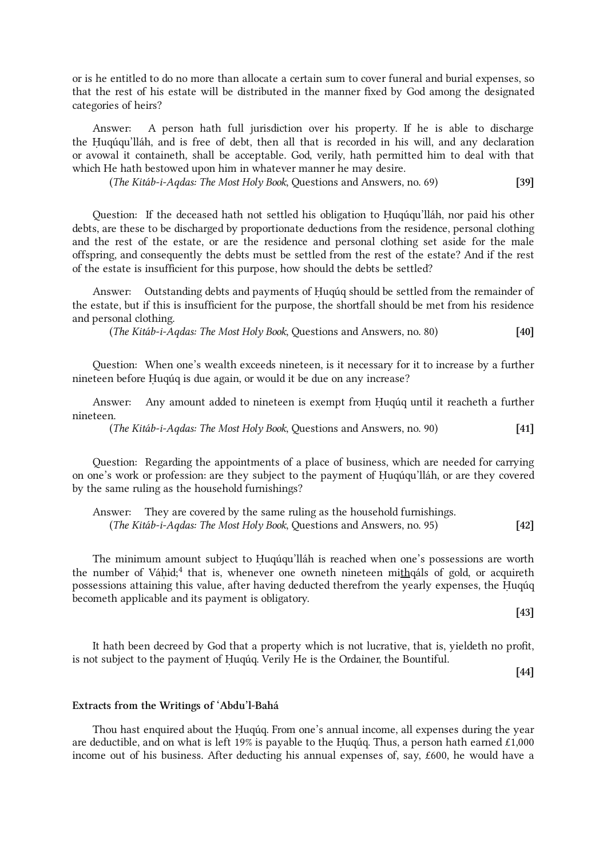or is he entitled to do no more than allocate a certain sum to cover funeral and burial expenses, so that the rest of his estate will be distributed in the manner fixed by God among the designated categories of heirs?

Answer: A person hath full jurisdiction over his property. If he is able to discharge the Ḥuqúqu'lláh, and is free of debt, then all that is recorded in his will, and any declaration or avowal it containeth, shall be acceptable. God, verily, hath permitted him to deal with that which He hath bestowed upon him in whatever manner he may desire.

(The Kitáb-i-Aqdas: The Most Holy Book, Questions and Answers, no. 69) [39]

Question: If the deceased hath not settled his obligation to Ḥuqúqu'lláh, nor paid his other debts, are these to be discharged by proportionate deductions from the residence, personal clothing and the rest of the estate, or are the residence and personal clothing set aside for the male offspring, and consequently the debts must be settled from the rest of the estate? And if the rest of the estate is insufficient for this purpose, how should the debts be settled?

Answer: Outstanding debts and payments of Ḥuqúq should be settled from the remainder of the estate, but if this is insufficient for the purpose, the shortfall should be met from his residence and personal clothing.

(The Kitáb-i-Aqdas: The Most Holy Book, Questions and Answers, no. 80) [40]

Question: When one's wealth exceeds nineteen, is it necessary for it to increase by a further nineteen before Ḥuqúq is due again, or would it be due on any increase?

Answer: Any amount added to nineteen is exempt from Ḥuqúq until it reacheth a further nineteen.

(The Kitáb-i-Aqdas: The Most Holy Book, Questions and Answers, no. 90) [41]

Question: Regarding the appointments of a place of business, which are needed for carrying on one's work or profession: are they subject to the payment of Ḥuqúqu'lláh, or are they covered by the same ruling as the household furnishings?

Answer: They are covered by the same ruling as the household furnishings. (The Kitáb-i-Aqdas: The Most Holy Book, Questions and Answers, no. 95) [42]

<span id="page-10-0"></span>The minimum amount subject to Ḥuqúqu'lláh is reached when one's possessions are worth the number of Váḥid;<sup>[4](#page-30-3)</sup> that is, whenever one owneth nineteen mithqáls of gold, or acquireth possessions attaining this value, after having deducted therefrom the yearly expenses, the Ḥuqúq becometh applicable and its payment is obligatory.

[43]

It hath been decreed by God that a property which is not lucrative, that is, yieldeth no profit, is not subject to the payment of Ḥuqúq. Verily He is the Ordainer, the Bountiful.

[44]

#### Extracts from the Writings of 'Abdu'l-Bahá

Thou hast enquired about the Ḥuqúq. From one's annual income, all expenses during the year are deductible, and on what is left 19% is payable to the Huqúq. Thus, a person hath earned £1,000 income out of his business. After deducting his annual expenses of, say, £600, he would have a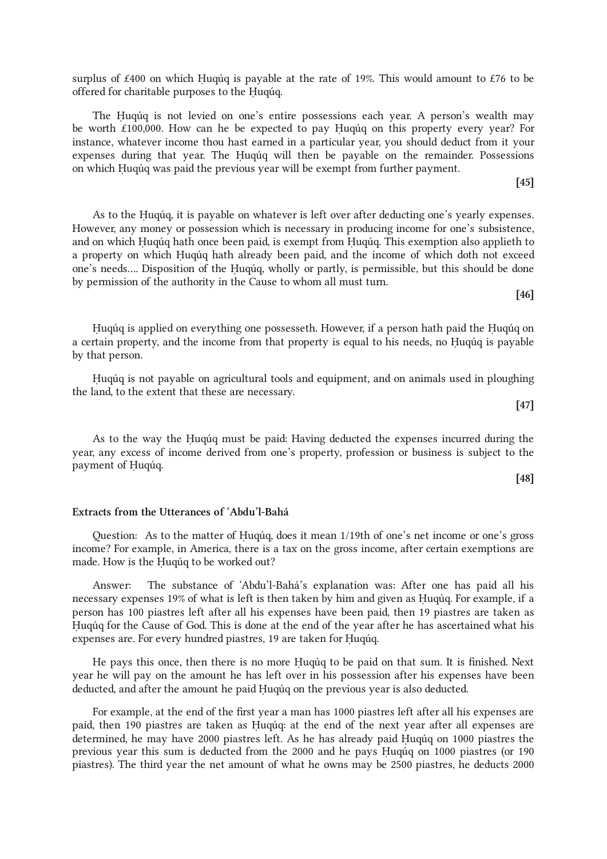surplus of  $£400$  on which Ḥuqúq is payable at the rate of 19%. This would amount to  $£76$  to be offered for charitable purposes to the Ḥuqúq.

The Ḥuqúq is not levied on one's entire possessions each year. A person's wealth may be worth £100,000. How can he be expected to pay Ḥuqúq on this property every year? For instance, whatever income thou hast earned in a particular year, you should deduct from it your expenses during that year. The Ḥuqúq will then be payable on the remainder. Possessions on which Ḥuqúq was paid the previous year will be exempt from further payment.

As to the Ḥuqúq, it is payable on whatever is left over after deducting one's yearly expenses. However, any money or possession which is necessary in producing income for one's subsistence, and on which Ḥuqúq hath once been paid, is exempt from Ḥuqúq. This exemption also applieth to a property on which Ḥuqúq hath already been paid, and the income of which doth not exceed one's needs.... Disposition of the Ḥuqúq, wholly or partly, is permissible, but this should be done by permission of the authority in the Cause to whom all must turn.

Ḥuqúq is applied on everything one possesseth. However, if a person hath paid the Ḥuqúq on a certain property, and the income from that property is equal to his needs, no Ḥuqúq is payable by that person.

Ḥuqúq is not payable on agricultural tools and equipment, and on animals used in ploughing the land, to the extent that these are necessary.

As to the way the Ḥuqúq must be paid: Having deducted the expenses incurred during the year, any excess of income derived from one's property, profession or business is subject to the payment of Ḥuqúq.

#### Extracts from the Utterances of 'Abdu'l-Bahá

Question: As to the matter of Ḥuqúq, does it mean 1/19th of one's net income or one's gross income? For example, in America, there is a tax on the gross income, after certain exemptions are made. How is the Ḥuqúq to be worked out?

Answer: The substance of 'Abdu'l-Bahá's explanation was: After one has paid all his necessary expenses 19% of what is left is then taken by him and given as Ḥuqúq. For example, if a person has 100 piastres left after all his expenses have been paid, then 19 piastres are taken as Ḥuqúq for the Cause of God. This is done at the end of the year after he has ascertained what his expenses are. For every hundred piastres, 19 are taken for Ḥuqúq.

He pays this once, then there is no more Ḥuqúq to be paid on that sum. It is finished. Next year he will pay on the amount he has left over in his possession after his expenses have been deducted, and after the amount he paid Ḥuqúq on the previous year is also deducted.

For example, at the end of the first year a man has 1000 piastres left after all his expenses are paid, then 190 piastres are taken as Ḥuqúq: at the end of the next year after all expenses are determined, he may have 2000 piastres left. As he has already paid Ḥuqúq on 1000 piastres the previous year this sum is deducted from the 2000 and he pays Ḥuqúq on 1000 piastres (or 190 piastres). The third year the net amount of what he owns may be 2500 piastres, he deducts 2000

[48]

[47]

[45]

[46]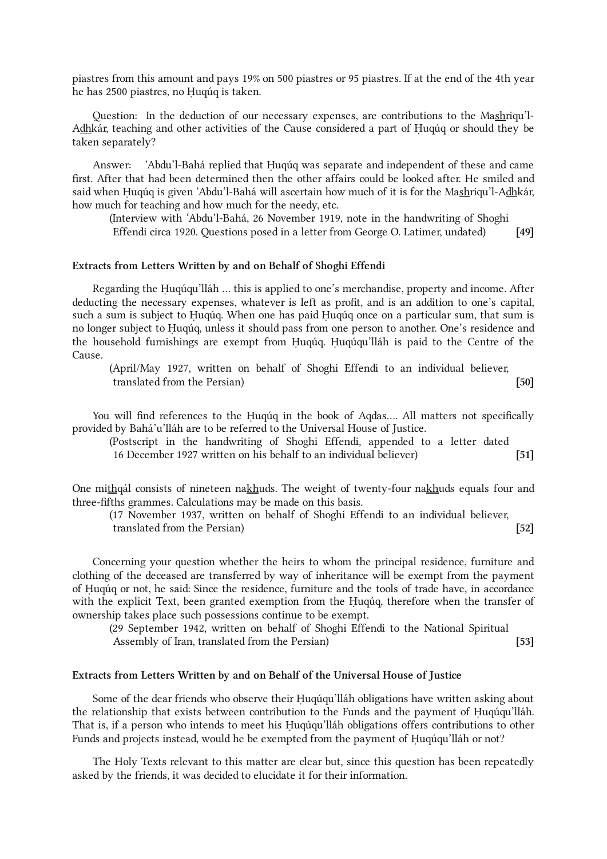piastres from this amount and pays 19% on 500 piastres or 95 piastres. If at the end of the 4th year he has 2500 piastres, no Ḥuqúq is taken.

Question: In the deduction of our necessary expenses, are contributions to the Mashriqu'l-Adhkár, teaching and other activities of the Cause considered a part of Ḥuqúq or should they be taken separately?

Answer: 'Abdu'l-Bahá replied that Ḥuqúq was separate and independent of these and came first. After that had been determined then the other affairs could be looked after. He smiled and said when Ḥuqúq is given 'Abdu'l-Bahá will ascertain how much of it is for the Mashriqu'l-Adhkár, how much for teaching and how much for the needy, etc.

(Interview with 'Abdu'l-Bahá, 26 November 1919, note in the handwriting of Shoghi Effendi circa 1920. Questions posed in a letter from George O. Latimer, undated) [49]

#### Extracts from Letters Written by and on Behalf of Shoghi Effendi

Regarding the Ḥuqúqu'lláh ... this is applied to one's merchandise, property and income. After deducting the necessary expenses, whatever is left as profit, and is an addition to one's capital, such a sum is subject to Ḥuqúq. When one has paid Ḥuqúq once on a particular sum, that sum is no longer subject to Ḥuqúq, unless it should pass from one person to another. One's residence and the household furnishings are exempt from Ḥuqúq. Ḥuqúqu'lláh is paid to the Centre of the Cause.

(April/May 1927, written on behalf of Shoghi Effendi to an individual believer, translated from the Persian) [50]

You will find references to the Huqúq in the book of Aqdas.... All matters not specifically provided by Bahá'u'lláh are to be referred to the Universal House of Justice.

(Postscript in the handwriting of Shoghi Effendi, appended to a letter dated 16 December 1927 written on his behalf to an individual believer) [51]

One mithqál consists of nineteen nakhuds. The weight of twenty-four nakhuds equals four and three-fifths grammes. Calculations may be made on this basis.

(17 November 1937, written on behalf of Shoghi Effendi to an individual believer, translated from the Persian) [52]

Concerning your question whether the heirs to whom the principal residence, furniture and clothing of the deceased are transferred by way of inheritance will be exempt from the payment of Ḥuqúq or not, he said: Since the residence, furniture and the tools of trade have, in accordance with the explicit Text, been granted exemption from the Huqúq, therefore when the transfer of ownership takes place such possessions continue to be exempt.

(29 September 1942, written on behalf of Shoghi Effendi to the National Spiritual Assembly of Iran, translated from the Persian) [53]

#### Extracts from Letters Written by and on Behalf of the Universal House of Justice

Some of the dear friends who observe their Ḥuqúqu'lláh obligations have written asking about the relationship that exists between contribution to the Funds and the payment of Ḥuqúqu'lláh. That is, if a person who intends to meet his Ḥuqúqu'lláh obligations offers contributions to other Funds and projects instead, would he be exempted from the payment of Ḥuqúqu'lláh or not?

The Holy Texts relevant to this matter are clear but, since this question has been repeatedly asked by the friends, it was decided to elucidate it for their information.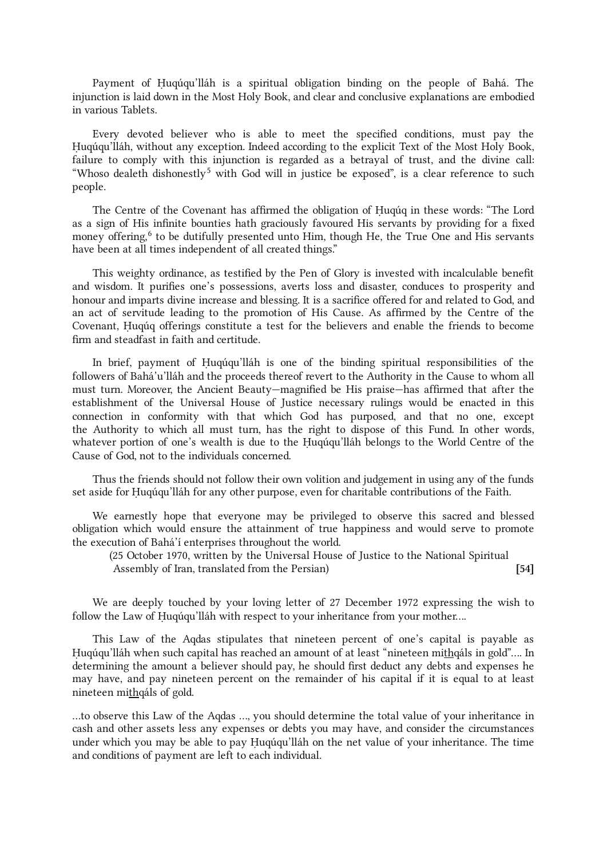Payment of Ḥuqúqu'lláh is a spiritual obligation binding on the people of Bahá. The injunction is laid down in the Most Holy Book, and clear and conclusive explanations are embodied in various Tablets.

<span id="page-13-0"></span>Every devoted believer who is able to meet the specified conditions, must pay the Ḥuqúqu'lláh, without any exception. Indeed according to the explicit Text of the Most Holy Book, failure to comply with this injunction is regarded as a betrayal of trust, and the divine call: "Whoso dealeth dishonestly<sup>[5](#page-30-4)</sup> with God will in justice be exposed", is a clear reference to such people.

<span id="page-13-1"></span>The Centre of the Covenant has affirmed the obligation of Ḥuqúq in these words: "The Lord as a sign of His infinite bounties hath graciously favoured His servants by providing for a fixed money offering,<sup>[6](#page-30-5)</sup> to be dutifully presented unto Him, though He, the True One and His servants have been at all times independent of all created things."

This weighty ordinance, as testified by the Pen of Glory is invested with incalculable benefit and wisdom. It purifies one's possessions, averts loss and disaster, conduces to prosperity and honour and imparts divine increase and blessing. It is a sacrifice offered for and related to God, and an act of servitude leading to the promotion of His Cause. As affirmed by the Centre of the Covenant, Ḥuqúq offerings constitute a test for the believers and enable the friends to become firm and steadfast in faith and certitude.

In brief, payment of Ḥuqúqu'lláh is one of the binding spiritual responsibilities of the followers of Bahá'u'lláh and the proceeds thereof revert to the Authority in the Cause to whom all must turn. Moreover, the Ancient Beauty—magnified be His praise—has affirmed that after the establishment of the Universal House of Justice necessary rulings would be enacted in this connection in conformity with that which God has purposed, and that no one, except the Authority to which all must turn, has the right to dispose of this Fund. In other words, whatever portion of one's wealth is due to the Huqúqu'lláh belongs to the World Centre of the Cause of God, not to the individuals concerned.

Thus the friends should not follow their own volition and judgement in using any of the funds set aside for Ḥuqúqu'lláh for any other purpose, even for charitable contributions of the Faith.

We earnestly hope that everyone may be privileged to observe this sacred and blessed obligation which would ensure the attainment of true happiness and would serve to promote the execution of Bahá'í enterprises throughout the world.

(25 October 1970, written by the Universal House of Justice to the National Spiritual Assembly of Iran, translated from the Persian) [54]

We are deeply touched by your loving letter of 27 December 1972 expressing the wish to follow the Law of Huqúqu'lláh with respect to your inheritance from your mother....

This Law of the Aqdas stipulates that nineteen percent of one's capital is payable as Ḥuqúqu'lláh when such capital has reached an amount of at least "nineteen mithqáls in gold".... In determining the amount a believer should pay, he should first deduct any debts and expenses he may have, and pay nineteen percent on the remainder of his capital if it is equal to at least nineteen mithqáls of gold.

…to observe this Law of the Aqdas …, you should determine the total value of your inheritance in cash and other assets less any expenses or debts you may have, and consider the circumstances under which you may be able to pay Ḥuqúqu'lláh on the net value of your inheritance. The time and conditions of payment are left to each individual.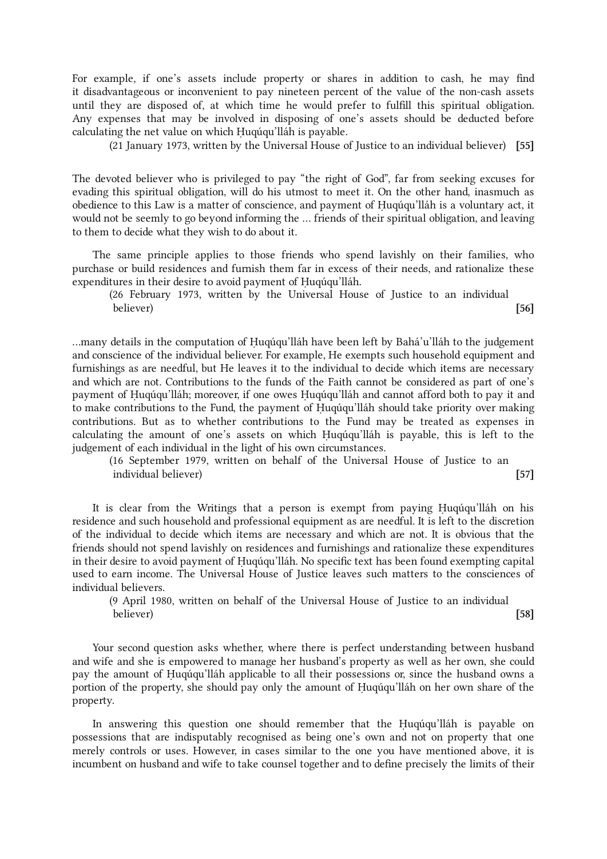For example, if one's assets include property or shares in addition to cash, he may find it disadvantageous or inconvenient to pay nineteen percent of the value of the non-cash assets until they are disposed of, at which time he would prefer to fulfill this spiritual obligation. Any expenses that may be involved in disposing of one's assets should be deducted before calculating the net value on which Ḥuqúqu'lláh is payable.

(21 January 1973, written by the Universal House of Justice to an individual believer) [55]

The devoted believer who is privileged to pay "the right of God", far from seeking excuses for evading this spiritual obligation, will do his utmost to meet it. On the other hand, inasmuch as obedience to this Law is a matter of conscience, and payment of Ḥuqúqu'lláh is a voluntary act, it would not be seemly to go beyond informing the … friends of their spiritual obligation, and leaving to them to decide what they wish to do about it.

The same principle applies to those friends who spend lavishly on their families, who purchase or build residences and furnish them far in excess of their needs, and rationalize these expenditures in their desire to avoid payment of Ḥuqúqu'lláh.

(26 February 1973, written by the Universal House of Justice to an individual believer) [56]

...many details in the computation of Ḥuqúqu'lláh have been left by Bahá'u'lláh to the judgement and conscience of the individual believer. For example, He exempts such household equipment and furnishings as are needful, but He leaves it to the individual to decide which items are necessary and which are not. Contributions to the funds of the Faith cannot be considered as part of one's payment of Ḥuqúqu'lláh; moreover, if one owes Ḥuqúqu'lláh and cannot afford both to pay it and to make contributions to the Fund, the payment of Ḥuqúqu'lláh should take priority over making contributions. But as to whether contributions to the Fund may be treated as expenses in calculating the amount of one's assets on which Ḥuqúqu'lláh is payable, this is left to the judgement of each individual in the light of his own circumstances.

(16 September 1979, written on behalf of the Universal House of Justice to an individual believer) [57]

It is clear from the Writings that a person is exempt from paying Ḥuqúqu'lláh on his residence and such household and professional equipment as are needful. It is left to the discretion of the individual to decide which items are necessary and which are not. It is obvious that the friends should not spend lavishly on residences and furnishings and rationalize these expenditures in their desire to avoid payment of Ḥuqúqu'lláh. No specific text has been found exempting capital used to earn income. The Universal House of Justice leaves such matters to the consciences of individual believers.

(9 April 1980, written on behalf of the Universal House of Justice to an individual believer) [58]

Your second question asks whether, where there is perfect understanding between husband and wife and she is empowered to manage her husband's property as well as her own, she could pay the amount of Ḥuqúqu'lláh applicable to all their possessions or, since the husband owns a portion of the property, she should pay only the amount of Ḥuqúqu'lláh on her own share of the property.

In answering this question one should remember that the Ḥuqúqu'lláh is payable on possessions that are indisputably recognised as being one's own and not on property that one merely controls or uses. However, in cases similar to the one you have mentioned above, it is incumbent on husband and wife to take counsel together and to define precisely the limits of their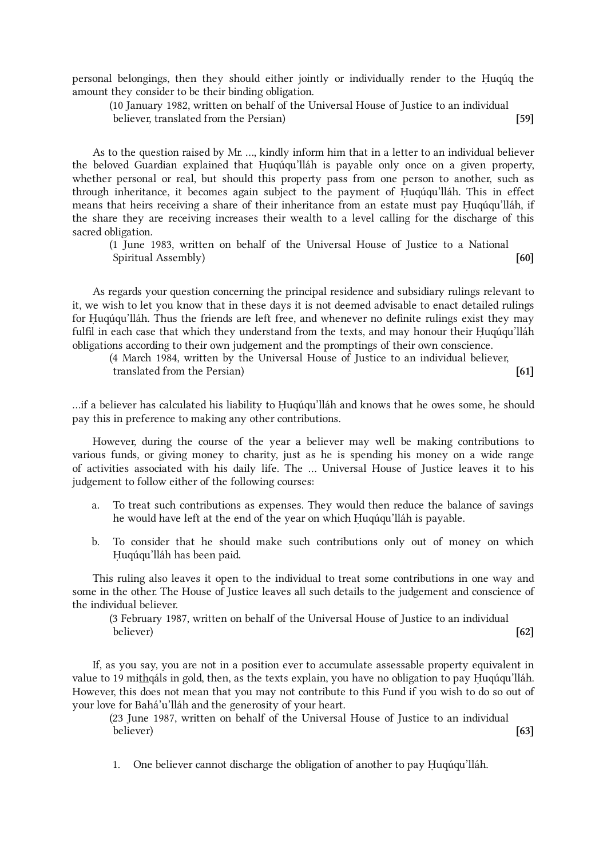personal belongings, then they should either jointly or individually render to the Ḥuqúq the amount they consider to be their binding obligation.

(10 January 1982, written on behalf of the Universal House of Justice to an individual believer, translated from the Persian) [59]

As to the question raised by Mr. ..., kindly inform him that in a letter to an individual believer the beloved Guardian explained that Ḥuqúqu'lláh is payable only once on a given property, whether personal or real, but should this property pass from one person to another, such as through inheritance, it becomes again subject to the payment of Ḥuqúqu'lláh. This in effect means that heirs receiving a share of their inheritance from an estate must pay Ḥuqúqu'lláh, if the share they are receiving increases their wealth to a level calling for the discharge of this sacred obligation.

(1 June 1983, written on behalf of the Universal House of Justice to a National Spiritual Assembly) [60]

As regards your question concerning the principal residence and subsidiary rulings relevant to it, we wish to let you know that in these days it is not deemed advisable to enact detailed rulings for Ḥuqúqu'lláh. Thus the friends are left free, and whenever no definite rulings exist they may fulfil in each case that which they understand from the texts, and may honour their Ḥuqúqu'lláh obligations according to their own judgement and the promptings of their own conscience.

(4 March 1984, written by the Universal House of Justice to an individual believer, translated from the Persian) [61]

…if a believer has calculated his liability to Ḥuqúqu'lláh and knows that he owes some, he should pay this in preference to making any other contributions.

However, during the course of the year a believer may well be making contributions to various funds, or giving money to charity, just as he is spending his money on a wide range of activities associated with his daily life. The … Universal House of Justice leaves it to his judgement to follow either of the following courses:

- a. To treat such contributions as expenses. They would then reduce the balance of savings he would have left at the end of the year on which Ḥuqúqu'lláh is payable.
- b. To consider that he should make such contributions only out of money on which Ḥuqúqu'lláh has been paid.

This ruling also leaves it open to the individual to treat some contributions in one way and some in the other. The House of Justice leaves all such details to the judgement and conscience of the individual believer.

(3 February 1987, written on behalf of the Universal House of Justice to an individual believer) [62]

If, as you say, you are not in a position ever to accumulate assessable property equivalent in value to 19 mithqáls in gold, then, as the texts explain, you have no obligation to pay Ḥuqúqu'lláh. However, this does not mean that you may not contribute to this Fund if you wish to do so out of your love for Bahá'u'lláh and the generosity of your heart.

(23 June 1987, written on behalf of the Universal House of Justice to an individual believer) [63]

1. One believer cannot discharge the obligation of another to pay Ḥuqúqu'lláh.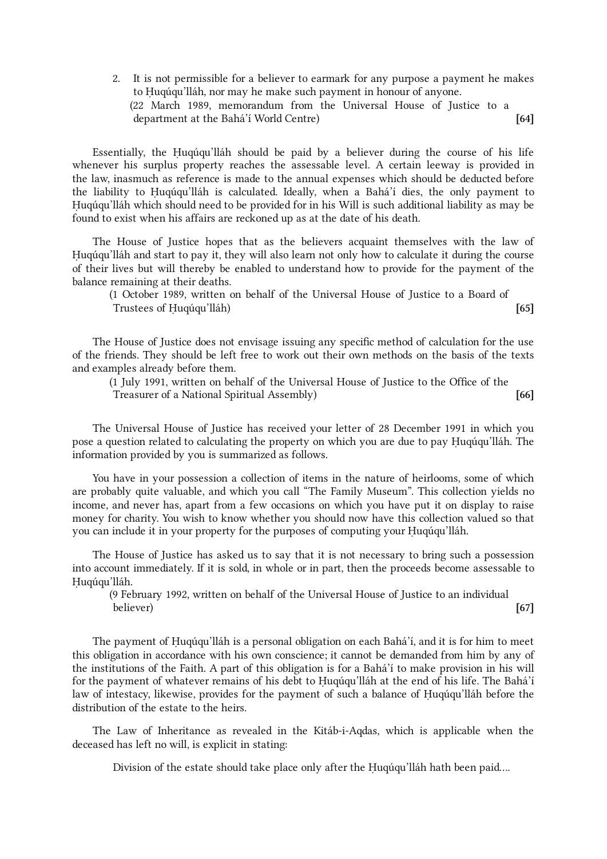2. It is not permissible for a believer to earmark for any purpose a payment he makes to Ḥuqúqu'lláh, nor may he make such payment in honour of anyone. (22 March 1989, memorandum from the Universal House of Justice to a department at the Bahá'í World Centre) [64]

Essentially, the Ḥuqúqu'lláh should be paid by a believer during the course of his life whenever his surplus property reaches the assessable level. A certain leeway is provided in the law, inasmuch as reference is made to the annual expenses which should be deducted before the liability to Ḥuqúqu'lláh is calculated. Ideally, when a Bahá'í dies, the only payment to Ḥuqúqu'lláh which should need to be provided for in his Will is such additional liability as may be found to exist when his affairs are reckoned up as at the date of his death.

The House of Justice hopes that as the believers acquaint themselves with the law of Huququ'llah and start to pay it, they will also learn not only how to calculate it during the course of their lives but will thereby be enabled to understand how to provide for the payment of the balance remaining at their deaths.

(1 October 1989, written on behalf of the Universal House of Justice to a Board of Trustees of Huqúqu'lláh) [65]

The House of Justice does not envisage issuing any specific method of calculation for the use of the friends. They should be left free to work out their own methods on the basis of the texts and examples already before them.

(1 July 1991, written on behalf of the Universal House of Justice to the Office of the Treasurer of a National Spiritual Assembly) [66]

The Universal House of Justice has received your letter of 28 December 1991 in which you pose a question related to calculating the property on which you are due to pay Ḥuqúqu'lláh. The information provided by you is summarized as follows.

You have in your possession a collection of items in the nature of heirlooms, some of which are probably quite valuable, and which you call "The Family Museum". This collection yields no income, and never has, apart from a few occasions on which you have put it on display to raise money for charity. You wish to know whether you should now have this collection valued so that you can include it in your property for the purposes of computing your Ḥuqúqu'lláh.

The House of Justice has asked us to say that it is not necessary to bring such a possession into account immediately. If it is sold, in whole or in part, then the proceeds become assessable to Ḥuqúqu'lláh.

(9 February 1992, written on behalf of the Universal House of Justice to an individual believer) [67] [67]

The payment of Ḥuqúqu'lláh is a personal obligation on each Bahá'í, and it is for him to meet this obligation in accordance with his own conscience; it cannot be demanded from him by any of the institutions of the Faith. A part of this obligation is for a Bahá'í to make provision in his will for the payment of whatever remains of his debt to Ḥuqúqu'lláh at the end of his life. The Bahá'í law of intestacy, likewise, provides for the payment of such a balance of Ḥuqúqu'lláh before the distribution of the estate to the heirs.

The Law of Inheritance as revealed in the Kitáb-i-Aqdas, which is applicable when the deceased has left no will, is explicit in stating:

Division of the estate should take place only after the Ḥuqúqu'lláh hath been paid....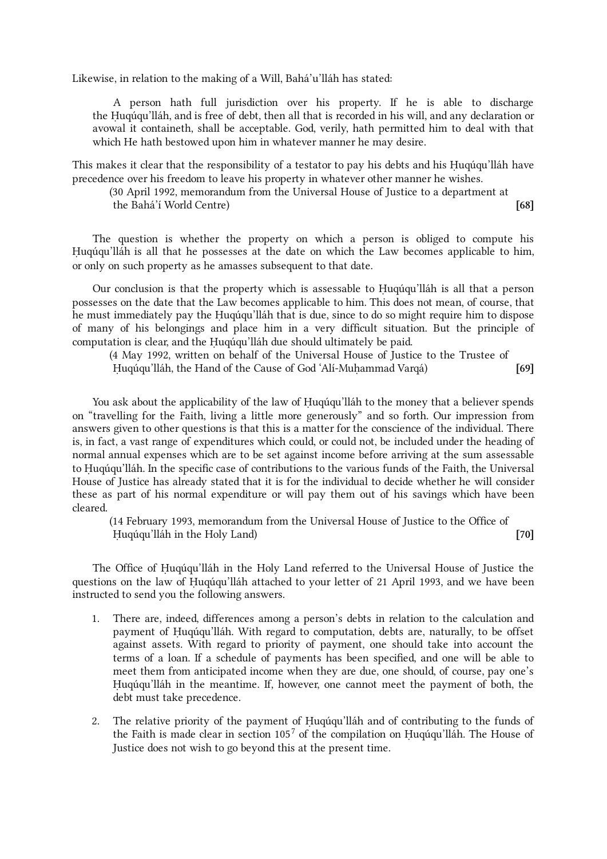Likewise, in relation to the making of a Will, Bahá'u'lláh has stated:

A person hath full jurisdiction over his property. If he is able to discharge the Ḥuqúqu'lláh, and is free of debt, then all that is recorded in his will, and any declaration or avowal it containeth, shall be acceptable. God, verily, hath permitted him to deal with that which He hath bestowed upon him in whatever manner he may desire.

This makes it clear that the responsibility of a testator to pay his debts and his Ḥuqúqu'lláh have precedence over his freedom to leave his property in whatever other manner he wishes.

(30 April 1992, memorandum from the Universal House of Justice to a department at the Bahá'í World Centre) [68]

The question is whether the property on which a person is obliged to compute his Ḥuqúqu'lláh is all that he possesses at the date on which the Law becomes applicable to him, or only on such property as he amasses subsequent to that date.

Our conclusion is that the property which is assessable to Ḥuqúqu'lláh is all that a person possesses on the date that the Law becomes applicable to him. This does not mean, of course, that he must immediately pay the Ḥuqúqu'lláh that is due, since to do so might require him to dispose of many of his belongings and place him in a very difficult situation. But the principle of computation is clear, and the Ḥuqúqu'lláh due should ultimately be paid.

(4 May 1992, written on behalf of the Universal House of Justice to the Trustee of Huqúqu'lláh, the Hand of the Cause of God 'Alí-Muḥammad Varqá) [69]

You ask about the applicability of the law of Huqúqu'lláh to the money that a believer spends on "travelling for the Faith, living a little more generously" and so forth. Our impression from answers given to other questions is that this is a matter for the conscience of the individual. There is, in fact, a vast range of expenditures which could, or could not, be included under the heading of normal annual expenses which are to be set against income before arriving at the sum assessable to Ḥuqúqu'lláh. In the specific case of contributions to the various funds of the Faith, the Universal House of Justice has already stated that it is for the individual to decide whether he will consider these as part of his normal expenditure or will pay them out of his savings which have been cleared.

(14 February 1993, memorandum from the Universal House of Justice to the Office of Huqúqu'lláh in the Holy Land) [70]

The Office of Ḥuqúqu'lláh in the Holy Land referred to the Universal House of Justice the questions on the law of Ḥuqúqu'lláh attached to your letter of 21 April 1993, and we have been instructed to send you the following answers.

- 1. There are, indeed, differences among a person's debts in relation to the calculation and payment of Ḥuqúqu'lláh. With regard to computation, debts are, naturally, to be offset against assets. With regard to priority of payment, one should take into account the terms of a loan. If a schedule of payments has been specified, and one will be able to meet them from anticipated income when they are due, one should, of course, pay one's Ḥuqúqu'lláh in the meantime. If, however, one cannot meet the payment of both, the debt must take precedence.
- <span id="page-17-0"></span>2. The relative priority of the payment of Ḥuqúqu'lláh and of contributing to the funds of the Faith is made clear in section 105 [7](#page-30-6) of the compilation on Ḥuqúqu'lláh. The House of Justice does not wish to go beyond this at the present time.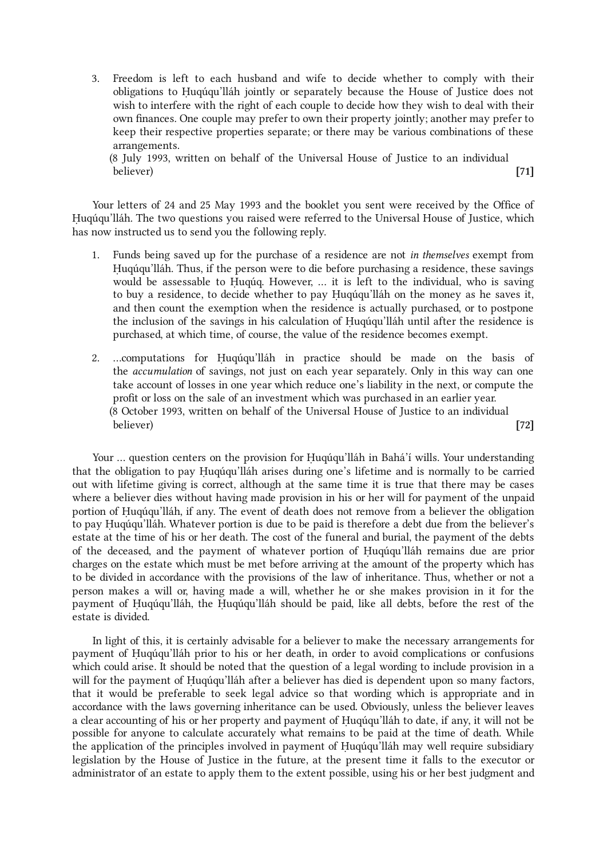3. Freedom is left to each husband and wife to decide whether to comply with their obligations to Ḥuqúqu'lláh jointly or separately because the House of Justice does not wish to interfere with the right of each couple to decide how they wish to deal with their own finances. One couple may prefer to own their property jointly; another may prefer to keep their respective properties separate; or there may be various combinations of these arrangements.

(8 July 1993, written on behalf of the Universal House of Justice to an individual believer) [71]

Your letters of 24 and 25 May 1993 and the booklet you sent were received by the Office of Ḥuqúqu'lláh. The two questions you raised were referred to the Universal House of Justice, which has now instructed us to send you the following reply.

- 1. Funds being saved up for the purchase of a residence are not in themselves exempt from Ḥuqúqu'lláh. Thus, if the person were to die before purchasing a residence, these savings would be assessable to Ḥuqúq. However, … it is left to the individual, who is saving to buy a residence, to decide whether to pay Ḥuqúqu'lláh on the money as he saves it, and then count the exemption when the residence is actually purchased, or to postpone the inclusion of the savings in his calculation of Ḥuqúqu'lláh until after the residence is purchased, at which time, of course, the value of the residence becomes exempt.
- 2. …computations for Ḥuqúqu'lláh in practice should be made on the basis of the accumulation of savings, not just on each year separately. Only in this way can one take account of losses in one year which reduce one's liability in the next, or compute the profit or loss on the sale of an investment which was purchased in an earlier year. (8 October 1993, written on behalf of the Universal House of Justice to an individual believer) [72]

Your ... question centers on the provision for Huqúqu'lláh in Bahá'í wills. Your understanding that the obligation to pay Ḥuqúqu'lláh arises during one's lifetime and is normally to be carried out with lifetime giving is correct, although at the same time it is true that there may be cases where a believer dies without having made provision in his or her will for payment of the unpaid portion of Ḥuqúqu'lláh, if any. The event of death does not remove from a believer the obligation to pay Ḥuqúqu'lláh. Whatever portion is due to be paid is therefore a debt due from the believer's estate at the time of his or her death. The cost of the funeral and burial, the payment of the debts of the deceased, and the payment of whatever portion of Ḥuqúqu'lláh remains due are prior charges on the estate which must be met before arriving at the amount of the property which has to be divided in accordance with the provisions of the law of inheritance. Thus, whether or not a person makes a will or, having made a will, whether he or she makes provision in it for the payment of Ḥuqúqu'lláh, the Ḥuqúqu'lláh should be paid, like all debts, before the rest of the estate is divided.

In light of this, it is certainly advisable for a believer to make the necessary arrangements for payment of Ḥuqúqu'lláh prior to his or her death, in order to avoid complications or confusions which could arise. It should be noted that the question of a legal wording to include provision in a will for the payment of Huqúqu'lláh after a believer has died is dependent upon so many factors, that it would be preferable to seek legal advice so that wording which is appropriate and in accordance with the laws governing inheritance can be used. Obviously, unless the believer leaves a clear accounting of his or her property and payment of Ḥuqúqu'lláh to date, if any, it will not be possible for anyone to calculate accurately what remains to be paid at the time of death. While the application of the principles involved in payment of Ḥuqúqu'lláh may well require subsidiary legislation by the House of Justice in the future, at the present time it falls to the executor or administrator of an estate to apply them to the extent possible, using his or her best judgment and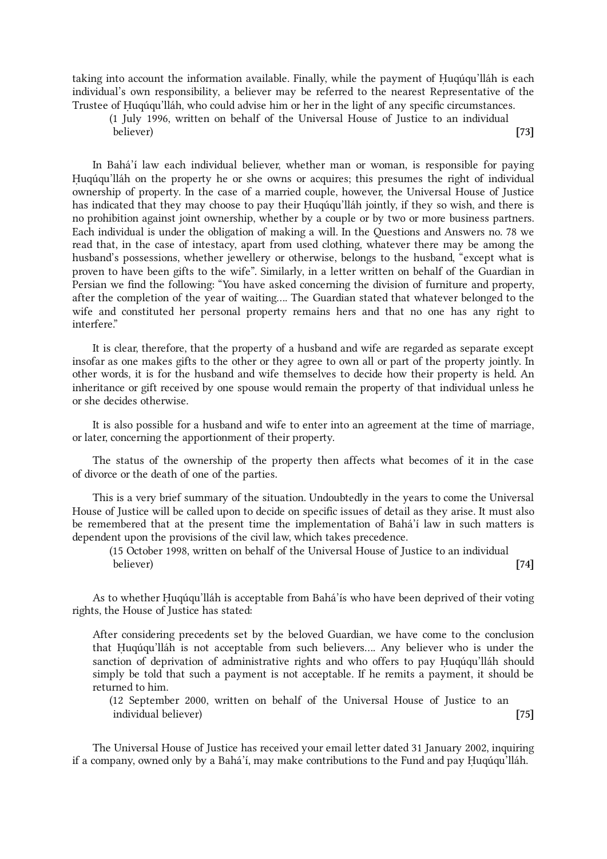taking into account the information available. Finally, while the payment of Ḥuqúqu'lláh is each individual's own responsibility, a believer may be referred to the nearest Representative of the Trustee of Ḥuqúqu'lláh, who could advise him or her in the light of any specific circumstances.

(1 July 1996, written on behalf of the Universal House of Justice to an individual believer) [73]

In Bahá'í law each individual believer, whether man or woman, is responsible for paying Ḥuqúqu'lláh on the property he or she owns or acquires; this presumes the right of individual ownership of property. In the case of a married couple, however, the Universal House of Justice has indicated that they may choose to pay their Ḥuqúqu'lláh jointly, if they so wish, and there is no prohibition against joint ownership, whether by a couple or by two or more business partners. Each individual is under the obligation of making a will. In the Questions and Answers no. 78 we read that, in the case of intestacy, apart from used clothing, whatever there may be among the husband's possessions, whether jewellery or otherwise, belongs to the husband, "except what is proven to have been gifts to the wife". Similarly, in a letter written on behalf of the Guardian in Persian we find the following: "You have asked concerning the division of furniture and property, after the completion of the year of waiting.... The Guardian stated that whatever belonged to the wife and constituted her personal property remains hers and that no one has any right to interfere."

It is clear, therefore, that the property of a husband and wife are regarded as separate except insofar as one makes gifts to the other or they agree to own all or part of the property jointly. In other words, it is for the husband and wife themselves to decide how their property is held. An inheritance or gift received by one spouse would remain the property of that individual unless he or she decides otherwise.

It is also possible for a husband and wife to enter into an agreement at the time of marriage, or later, concerning the apportionment of their property.

The status of the ownership of the property then affects what becomes of it in the case of divorce or the death of one of the parties.

This is a very brief summary of the situation. Undoubtedly in the years to come the Universal House of Justice will be called upon to decide on specific issues of detail as they arise. It must also be remembered that at the present time the implementation of Bahá'í law in such matters is dependent upon the provisions of the civil law, which takes precedence.

(15 October 1998, written on behalf of the Universal House of Justice to an individual believer) [74]

As to whether Ḥuqúqu'lláh is acceptable from Bahá'ís who have been deprived of their voting rights, the House of Justice has stated:

After considering precedents set by the beloved Guardian, we have come to the conclusion that Ḥuqúqu'lláh is not acceptable from such believers…. Any believer who is under the sanction of deprivation of administrative rights and who offers to pay Huququ'llah should simply be told that such a payment is not acceptable. If he remits a payment, it should be returned to him.

(12 September 2000, written on behalf of the Universal House of Justice to an individual believer) [75]

The Universal House of Justice has received your email letter dated 31 January 2002, inquiring if a company, owned only by a Bahá'í, may make contributions to the Fund and pay Ḥuqúqu'lláh.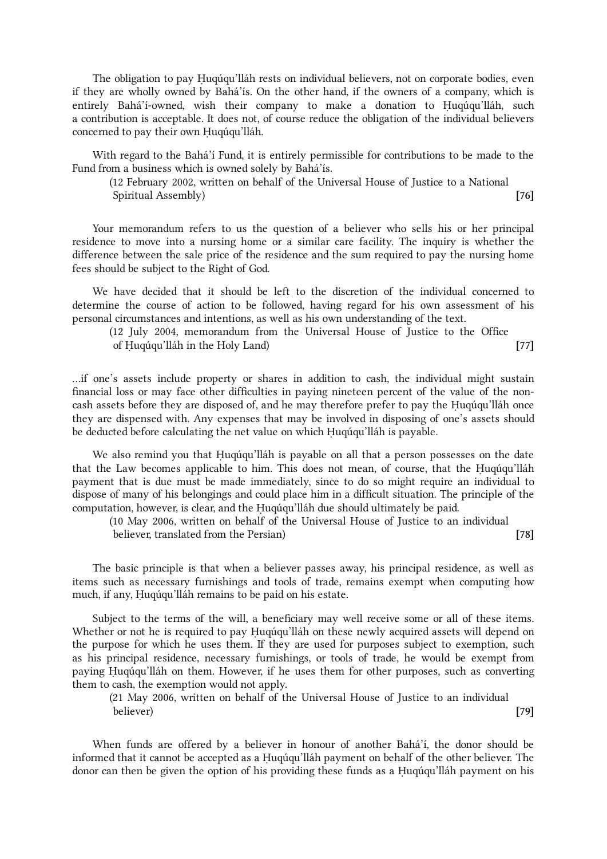The obligation to pay Ḥuqúqu'lláh rests on individual believers, not on corporate bodies, even if they are wholly owned by Bahá'ís. On the other hand, if the owners of a company, which is entirely Bahá'í-owned, wish their company to make a donation to Ḥuqúqu'lláh, such a contribution is acceptable. It does not, of course reduce the obligation of the individual believers concerned to pay their own Ḥuqúqu'lláh.

With regard to the Bahá'í Fund, it is entirely permissible for contributions to be made to the Fund from a business which is owned solely by Bahá'ís.

(12 February 2002, written on behalf of the Universal House of Justice to a National Spiritual Assembly) [76]

Your memorandum refers to us the question of a believer who sells his or her principal residence to move into a nursing home or a similar care facility. The inquiry is whether the difference between the sale price of the residence and the sum required to pay the nursing home fees should be subject to the Right of God.

We have decided that it should be left to the discretion of the individual concerned to determine the course of action to be followed, having regard for his own assessment of his personal circumstances and intentions, as well as his own understanding of the text.

(12 July 2004, memorandum from the Universal House of Justice to the Office of Ḥuqúqu'lláh in the Holy Land) [77]

…if one's assets include property or shares in addition to cash, the individual might sustain financial loss or may face other difficulties in paying nineteen percent of the value of the noncash assets before they are disposed of, and he may therefore prefer to pay the Ḥuqúqu'lláh once they are dispensed with. Any expenses that may be involved in disposing of one's assets should be deducted before calculating the net value on which Ḥuqúqu'lláh is payable.

We also remind you that Ḥuqúqu'lláh is payable on all that a person possesses on the date that the Law becomes applicable to him. This does not mean, of course, that the Ḥuqúqu'lláh payment that is due must be made immediately, since to do so might require an individual to dispose of many of his belongings and could place him in a difficult situation. The principle of the computation, however, is clear, and the Ḥuqúqu'lláh due should ultimately be paid.

(10 May 2006, written on behalf of the Universal House of Justice to an individual believer, translated from the Persian) [78]

The basic principle is that when a believer passes away, his principal residence, as well as items such as necessary furnishings and tools of trade, remains exempt when computing how much, if any, Ḥuqúqu'lláh remains to be paid on his estate.

Subject to the terms of the will, a beneficiary may well receive some or all of these items. Whether or not he is required to pay Huqúqu'lláh on these newly acquired assets will depend on the purpose for which he uses them. If they are used for purposes subject to exemption, such as his principal residence, necessary furnishings, or tools of trade, he would be exempt from paying Ḥuqúqu'lláh on them. However, if he uses them for other purposes, such as converting them to cash, the exemption would not apply.

(21 May 2006, written on behalf of the Universal House of Justice to an individual believer) [79]

When funds are offered by a believer in honour of another Bahá'í, the donor should be informed that it cannot be accepted as a Ḥuqúqu'lláh payment on behalf of the other believer. The donor can then be given the option of his providing these funds as a Ḥuqúqu'lláh payment on his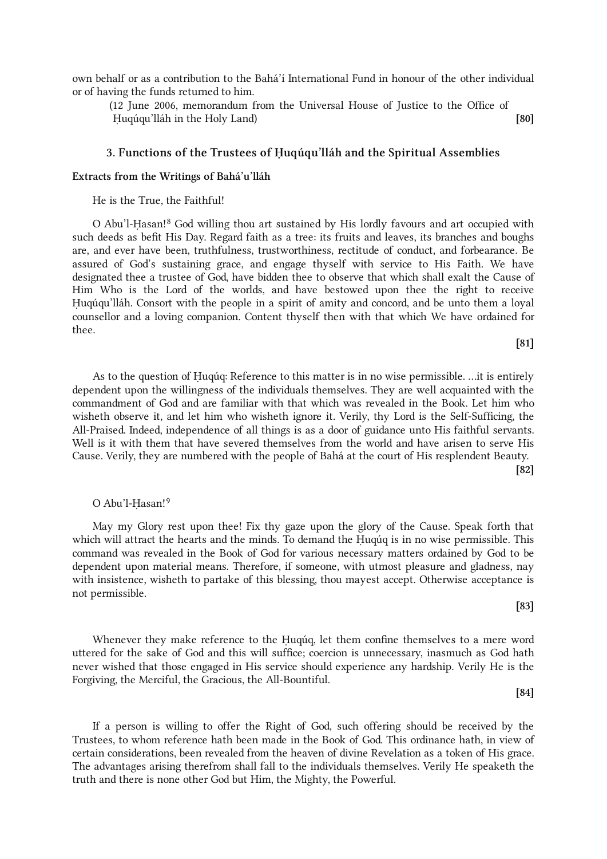own behalf or as a contribution to the Bahá'í International Fund in honour of the other individual or of having the funds returned to him.

(12 June 2006, memorandum from the Universal House of Justice to the Office of Huqúqu'lláh in the Holy Land) **[80] [80] [80]** 

#### <span id="page-21-0"></span>3. Functions of the Trustees of Ḥuqúqu'lláh and the Spiritual Assemblies

#### Extracts from the Writings of Bahá'u'lláh

<span id="page-21-1"></span>He is the True, the Faithful!

O Abu'l-Ḥasan! [8](#page-30-7) God willing thou art sustained by His lordly favours and art occupied with such deeds as befit His Day. Regard faith as a tree: its fruits and leaves, its branches and boughs are, and ever have been, truthfulness, trustworthiness, rectitude of conduct, and forbearance. Be assured of God's sustaining grace, and engage thyself with service to His Faith. We have designated thee a trustee of God, have bidden thee to observe that which shall exalt the Cause of Him Who is the Lord of the worlds, and have bestowed upon thee the right to receive Ḥuqúqu'lláh. Consort with the people in a spirit of amity and concord, and be unto them a loyal counsellor and a loving companion. Content thyself then with that which We have ordained for thee.

As to the question of Ḥuqúq: Reference to this matter is in no wise permissible. ...it is entirely dependent upon the willingness of the individuals themselves. They are well acquainted with the commandment of God and are familiar with that which was revealed in the Book. Let him who wisheth observe it, and let him who wisheth ignore it. Verily, thy Lord is the Self-Sufficing, the All-Praised. Indeed, independence of all things is as a door of guidance unto His faithful servants. Well is it with them that have severed themselves from the world and have arisen to serve His Cause. Verily, they are numbered with the people of Bahá at the court of His resplendent Beauty.

[82]

[81]

#### <span id="page-21-2"></span>O Abu'l-Ḥasan! [9](#page-30-8)

May my Glory rest upon thee! Fix thy gaze upon the glory of the Cause. Speak forth that which will attract the hearts and the minds. To demand the Ḥuqúq is in no wise permissible. This command was revealed in the Book of God for various necessary matters ordained by God to be dependent upon material means. Therefore, if someone, with utmost pleasure and gladness, nay with insistence, wisheth to partake of this blessing, thou mayest accept. Otherwise acceptance is not permissible.

Whenever they make reference to the Ḥuqúq, let them confine themselves to a mere word uttered for the sake of God and this will suffice; coercion is unnecessary, inasmuch as God hath never wished that those engaged in His service should experience any hardship. Verily He is the Forgiving, the Merciful, the Gracious, the All-Bountiful.

[84]

[83]

If a person is willing to offer the Right of God, such offering should be received by the Trustees, to whom reference hath been made in the Book of God. This ordinance hath, in view of certain considerations, been revealed from the heaven of divine Revelation as a token of His grace. The advantages arising therefrom shall fall to the individuals themselves. Verily He speaketh the truth and there is none other God but Him, the Mighty, the Powerful.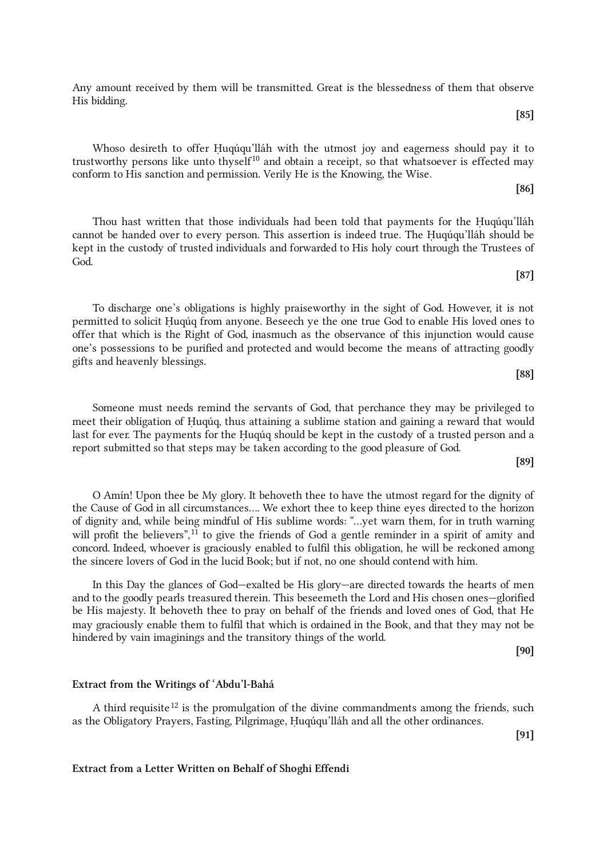[85]

<span id="page-22-0"></span>Whoso desireth to offer Ḥuqúqu'lláh with the utmost joy and eagerness should pay it to trustworthy persons like unto thyself<sup>[10](#page-30-9)</sup> and obtain a receipt, so that whatsoever is effected may conform to His sanction and permission. Verily He is the Knowing, the Wise.

Any amount received by them will be transmitted. Great is the blessedness of them that observe

Thou hast written that those individuals had been told that payments for the Ḥuqúqu'lláh cannot be handed over to every person. This assertion is indeed true. The Ḥuqúqu'lláh should be kept in the custody of trusted individuals and forwarded to His holy court through the Trustees of God.

To discharge one's obligations is highly praiseworthy in the sight of God. However, it is not permitted to solicit Ḥuqúq from anyone. Beseech ye the one true God to enable His loved ones to offer that which is the Right of God, inasmuch as the observance of this injunction would cause one's possessions to be purified and protected and would become the means of attracting goodly gifts and heavenly blessings.

Someone must needs remind the servants of God, that perchance they may be privileged to meet their obligation of Ḥuqúq, thus attaining a sublime station and gaining a reward that would last for ever. The payments for the Ḥuqúq should be kept in the custody of a trusted person and a report submitted so that steps may be taken according to the good pleasure of God.

<span id="page-22-1"></span>O Amín! Upon thee be My glory. It behoveth thee to have the utmost regard for the dignity of the Cause of God in all circumstances…. We exhort thee to keep thine eyes directed to the horizon of dignity and, while being mindful of His sublime words: "...yet warn them, for in truth warning will profit the believers",<sup>[11](#page-30-10)</sup> to give the friends of God a gentle reminder in a spirit of amity and concord. Indeed, whoever is graciously enabled to fulfil this obligation, he will be reckoned among the sincere lovers of God in the lucid Book; but if not, no one should contend with him.

In this Day the glances of God—exalted be His glory—are directed towards the hearts of men and to the goodly pearls treasured therein. This beseemeth the Lord and His chosen ones—glorified be His majesty. It behoveth thee to pray on behalf of the friends and loved ones of God, that He may graciously enable them to fulfil that which is ordained in the Book, and that they may not be hindered by vain imaginings and the transitory things of the world.

[90]

#### Extract from the Writings of 'Abdu'l-Bahá

His bidding.

<span id="page-22-2"></span>A third requisite<sup>[12](#page-30-11)</sup> is the promulgation of the divine commandments among the friends, such as the Obligatory Prayers, Fasting, Pilgrimage, Ḥuqúqu'lláh and all the other ordinances.

[91]

#### Extract from a Letter Written on Behalf of Shoghi Effendi

[88]

[89]

# [87]

[86]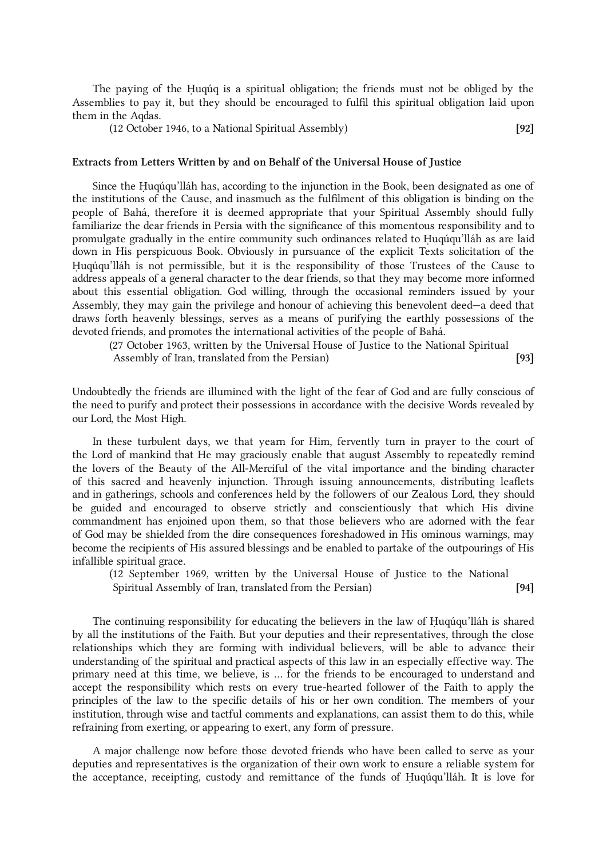The paying of the Ḥuqúq is a spiritual obligation; the friends must not be obliged by the Assemblies to pay it, but they should be encouraged to fulfil this spiritual obligation laid upon them in the Aqdas.

(12 October 1946, to a National Spiritual Assembly) [92]

#### Extracts from Letters Written by and on Behalf of the Universal House of Justice

Since the Ḥuqúqu'lláh has, according to the injunction in the Book, been designated as one of the institutions of the Cause, and inasmuch as the fulfilment of this obligation is binding on the people of Bahá, therefore it is deemed appropriate that your Spiritual Assembly should fully familiarize the dear friends in Persia with the significance of this momentous responsibility and to promulgate gradually in the entire community such ordinances related to Ḥuqúqu'lláh as are laid down in His perspicuous Book. Obviously in pursuance of the explicit Texts solicitation of the Ḥuqúqu'lláh is not permissible, but it is the responsibility of those Trustees of the Cause to address appeals of a general character to the dear friends, so that they may become more informed about this essential obligation. God willing, through the occasional reminders issued by your Assembly, they may gain the privilege and honour of achieving this benevolent deed—a deed that draws forth heavenly blessings, serves as a means of purifying the earthly possessions of the devoted friends, and promotes the international activities of the people of Bahá.

(27 October 1963, written by the Universal House of Justice to the National Spiritual Assembly of Iran, translated from the Persian) [93]

Undoubtedly the friends are illumined with the light of the fear of God and are fully conscious of the need to purify and protect their possessions in accordance with the decisive Words revealed by our Lord, the Most High.

In these turbulent days, we that yearn for Him, fervently turn in prayer to the court of the Lord of mankind that He may graciously enable that august Assembly to repeatedly remind the lovers of the Beauty of the All-Merciful of the vital importance and the binding character of this sacred and heavenly injunction. Through issuing announcements, distributing leaflets and in gatherings, schools and conferences held by the followers of our Zealous Lord, they should be guided and encouraged to observe strictly and conscientiously that which His divine commandment has enjoined upon them, so that those believers who are adorned with the fear of God may be shielded from the dire consequences foreshadowed in His ominous warnings, may become the recipients of His assured blessings and be enabled to partake of the outpourings of His infallible spiritual grace.

(12 September 1969, written by the Universal House of Justice to the National Spiritual Assembly of Iran, translated from the Persian) [94]

The continuing responsibility for educating the believers in the law of Ḥuqúqu'lláh is shared by all the institutions of the Faith. But your deputies and their representatives, through the close relationships which they are forming with individual believers, will be able to advance their understanding of the spiritual and practical aspects of this law in an especially effective way. The primary need at this time, we believe, is … for the friends to be encouraged to understand and accept the responsibility which rests on every true-hearted follower of the Faith to apply the principles of the law to the specific details of his or her own condition. The members of your institution, through wise and tactful comments and explanations, can assist them to do this, while refraining from exerting, or appearing to exert, any form of pressure.

A major challenge now before those devoted friends who have been called to serve as your deputies and representatives is the organization of their own work to ensure a reliable system for the acceptance, receipting, custody and remittance of the funds of Ḥuqúqu'lláh. It is love for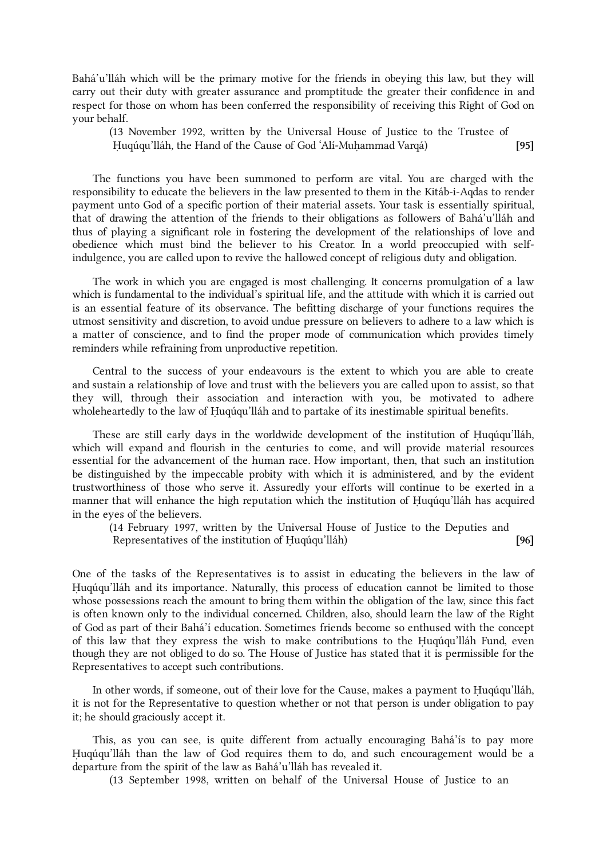Bahá'u'lláh which will be the primary motive for the friends in obeying this law, but they will carry out their duty with greater assurance and promptitude the greater their confidence in and respect for those on whom has been conferred the responsibility of receiving this Right of God on your behalf.

(13 November 1992, written by the Universal House of Justice to the Trustee of Huqúqu'lláh, the Hand of the Cause of God 'Alí-Muhammad Varqá) [95]

The functions you have been summoned to perform are vital. You are charged with the responsibility to educate the believers in the law presented to them in the Kitáb-i-Aqdas to render payment unto God of a specific portion of their material assets. Your task is essentially spiritual, that of drawing the attention of the friends to their obligations as followers of Bahá'u'lláh and thus of playing a significant role in fostering the development of the relationships of love and obedience which must bind the believer to his Creator. In a world preoccupied with selfindulgence, you are called upon to revive the hallowed concept of religious duty and obligation.

The work in which you are engaged is most challenging. It concerns promulgation of a law which is fundamental to the individual's spiritual life, and the attitude with which it is carried out is an essential feature of its observance. The befitting discharge of your functions requires the utmost sensitivity and discretion, to avoid undue pressure on believers to adhere to a law which is a matter of conscience, and to find the proper mode of communication which provides timely reminders while refraining from unproductive repetition.

Central to the success of your endeavours is the extent to which you are able to create and sustain a relationship of love and trust with the believers you are called upon to assist, so that they will, through their association and interaction with you, be motivated to adhere wholeheartedly to the law of Huqúqu'lláh and to partake of its inestimable spiritual benefits.

These are still early days in the worldwide development of the institution of Ḥuqúqu'lláh, which will expand and flourish in the centuries to come, and will provide material resources essential for the advancement of the human race. How important, then, that such an institution be distinguished by the impeccable probity with which it is administered, and by the evident trustworthiness of those who serve it. Assuredly your efforts will continue to be exerted in a manner that will enhance the high reputation which the institution of Ḥuqúqu'lláh has acquired in the eyes of the believers.

(14 February 1997, written by the Universal House of Justice to the Deputies and Representatives of the institution of Ḥuqúqu'lláh) [96]

One of the tasks of the Representatives is to assist in educating the believers in the law of Ḥuqúqu'lláh and its importance. Naturally, this process of education cannot be limited to those whose possessions reach the amount to bring them within the obligation of the law, since this fact is often known only to the individual concerned. Children, also, should learn the law of the Right of God as part of their Bahá'í education. Sometimes friends become so enthused with the concept of this law that they express the wish to make contributions to the Ḥuqúqu'lláh Fund, even though they are not obliged to do so. The House of Justice has stated that it is permissible for the Representatives to accept such contributions.

In other words, if someone, out of their love for the Cause, makes a payment to Ḥuqúqu'lláh, it is not for the Representative to question whether or not that person is under obligation to pay it; he should graciously accept it.

This, as you can see, is quite different from actually encouraging Bahá'ís to pay more Ḥuqúqu'lláh than the law of God requires them to do, and such encouragement would be a departure from the spirit of the law as Bahá'u'lláh has revealed it.

(13 September 1998, written on behalf of the Universal House of Justice to an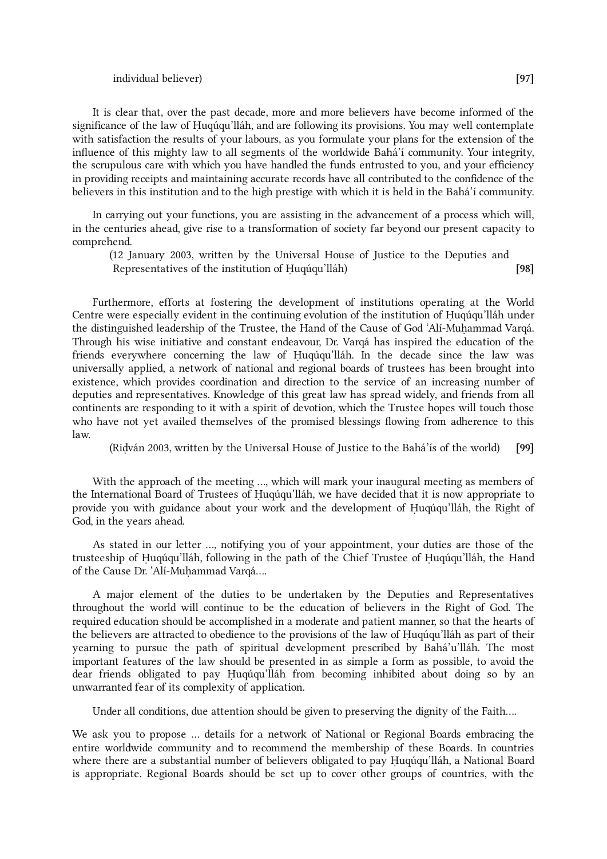#### individual believer) [97]

It is clear that, over the past decade, more and more believers have become informed of the significance of the law of Ḥuqúqu'lláh, and are following its provisions. You may well contemplate with satisfaction the results of your labours, as you formulate your plans for the extension of the influence of this mighty law to all segments of the worldwide Bahá'í community. Your integrity, the scrupulous care with which you have handled the funds entrusted to you, and your efficiency in providing receipts and maintaining accurate records have all contributed to the confidence of the believers in this institution and to the high prestige with which it is held in the Bahá'í community.

In carrying out your functions, you are assisting in the advancement of a process which will, in the centuries ahead, give rise to a transformation of society far beyond our present capacity to comprehend.

(12 January 2003, written by the Universal House of Justice to the Deputies and Representatives of the institution of Ḥuqúqu'lláh) [98]

Furthermore, efforts at fostering the development of institutions operating at the World Centre were especially evident in the continuing evolution of the institution of Ḥuqúqu'lláh under the distinguished leadership of the Trustee, the Hand of the Cause of God 'Alí-Muhammad Varqá. Through his wise initiative and constant endeavour, Dr. Varqá has inspired the education of the friends everywhere concerning the law of Ḥuqúqu'lláh. In the decade since the law was universally applied, a network of national and regional boards of trustees has been brought into existence, which provides coordination and direction to the service of an increasing number of deputies and representatives. Knowledge of this great law has spread widely, and friends from all continents are responding to it with a spirit of devotion, which the Trustee hopes will touch those who have not yet availed themselves of the promised blessings flowing from adherence to this law.

(Riḍván 2003, written by the Universal House of Justice to the Bahá'ís of the world) [99]

With the approach of the meeting …, which will mark your inaugural meeting as members of the International Board of Trustees of Ḥuqúqu'lláh, we have decided that it is now appropriate to provide you with guidance about your work and the development of Ḥuqúqu'lláh, the Right of God, in the years ahead.

As stated in our letter …, notifying you of your appointment, your duties are those of the trusteeship of Ḥuqúqu'lláh, following in the path of the Chief Trustee of Ḥuqúqu'lláh, the Hand of the Cause Dr. 'Alí-Muḥammad Varqá….

A major element of the duties to be undertaken by the Deputies and Representatives throughout the world will continue to be the education of believers in the Right of God. The required education should be accomplished in a moderate and patient manner, so that the hearts of the believers are attracted to obedience to the provisions of the law of Ḥuqúqu'lláh as part of their yearning to pursue the path of spiritual development prescribed by Bahá'u'lláh. The most important features of the law should be presented in as simple a form as possible, to avoid the dear friends obligated to pay Ḥuqúqu'lláh from becoming inhibited about doing so by an unwarranted fear of its complexity of application.

Under all conditions, due attention should be given to preserving the dignity of the Faith….

We ask you to propose … details for a network of National or Regional Boards embracing the entire worldwide community and to recommend the membership of these Boards. In countries where there are a substantial number of believers obligated to pay Ḥuqúqu'lláh, a National Board is appropriate. Regional Boards should be set up to cover other groups of countries, with the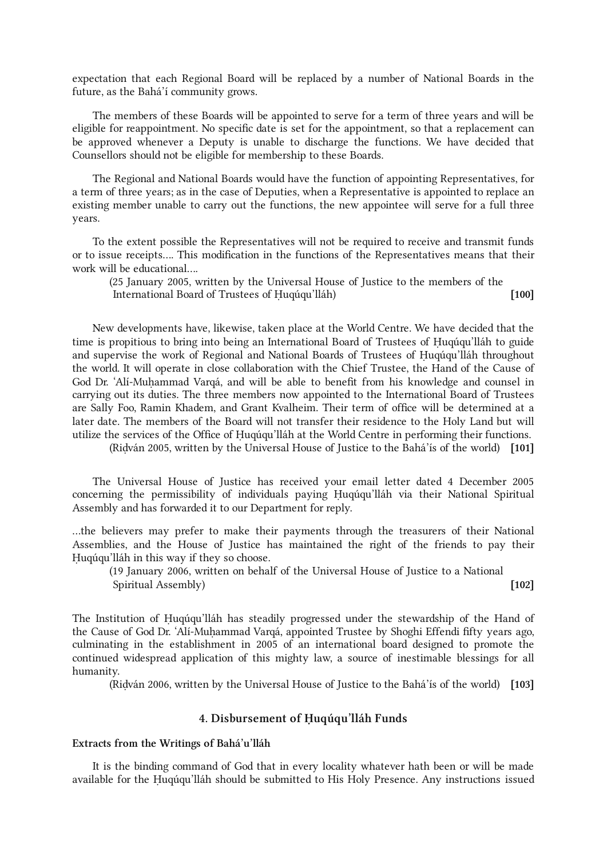expectation that each Regional Board will be replaced by a number of National Boards in the future, as the Bahá'í community grows.

The members of these Boards will be appointed to serve for a term of three years and will be eligible for reappointment. No specific date is set for the appointment, so that a replacement can be approved whenever a Deputy is unable to discharge the functions. We have decided that Counsellors should not be eligible for membership to these Boards.

The Regional and National Boards would have the function of appointing Representatives, for a term of three years; as in the case of Deputies, when a Representative is appointed to replace an existing member unable to carry out the functions, the new appointee will serve for a full three years.

To the extent possible the Representatives will not be required to receive and transmit funds or to issue receipts…. This modification in the functions of the Representatives means that their work will be educational….

(25 January 2005, written by the Universal House of Justice to the members of the International Board of Trustees of Huqúqu'lláh) [100]

New developments have, likewise, taken place at the World Centre. We have decided that the time is propitious to bring into being an International Board of Trustees of Ḥuqúqu'lláh to guide and supervise the work of Regional and National Boards of Trustees of Ḥuqúqu'lláh throughout the world. It will operate in close collaboration with the Chief Trustee, the Hand of the Cause of God Dr. 'Alí-Muḥammad Varqá, and will be able to benefit from his knowledge and counsel in carrying out its duties. The three members now appointed to the International Board of Trustees are Sally Foo, Ramin Khadem, and Grant Kvalheim. Their term of office will be determined at a later date. The members of the Board will not transfer their residence to the Holy Land but will utilize the services of the Office of Ḥuqúqu'lláh at the World Centre in performing their functions.

(Riḍván 2005, written by the Universal House of Justice to the Bahá'ís of the world) [101]

The Universal House of Justice has received your email letter dated 4 December 2005 concerning the permissibility of individuals paying Ḥuqúqu'lláh via their National Spiritual Assembly and has forwarded it to our Department for reply.

…the believers may prefer to make their payments through the treasurers of their National Assemblies, and the House of Justice has maintained the right of the friends to pay their Ḥuqúqu'lláh in this way if they so choose.

(19 January 2006, written on behalf of the Universal House of Justice to a National Spiritual Assembly) [102] [102]

The Institution of Ḥuqúqu'lláh has steadily progressed under the stewardship of the Hand of the Cause of God Dr. 'Alí-Muḥammad Varqá, appointed Trustee by Shoghi Effendi fifty years ago, culminating in the establishment in 2005 of an international board designed to promote the continued widespread application of this mighty law, a source of inestimable blessings for all humanity.

(Riḍván 2006, written by the Universal House of Justice to the Bahá'ís of the world) [103]

#### <span id="page-26-0"></span>4. Disbursement of Ḥuqúqu'lláh Funds

#### Extracts from the Writings of Bahá'u'lláh

It is the binding command of God that in every locality whatever hath been or will be made available for the Ḥuqúqu'lláh should be submitted to His Holy Presence. Any instructions issued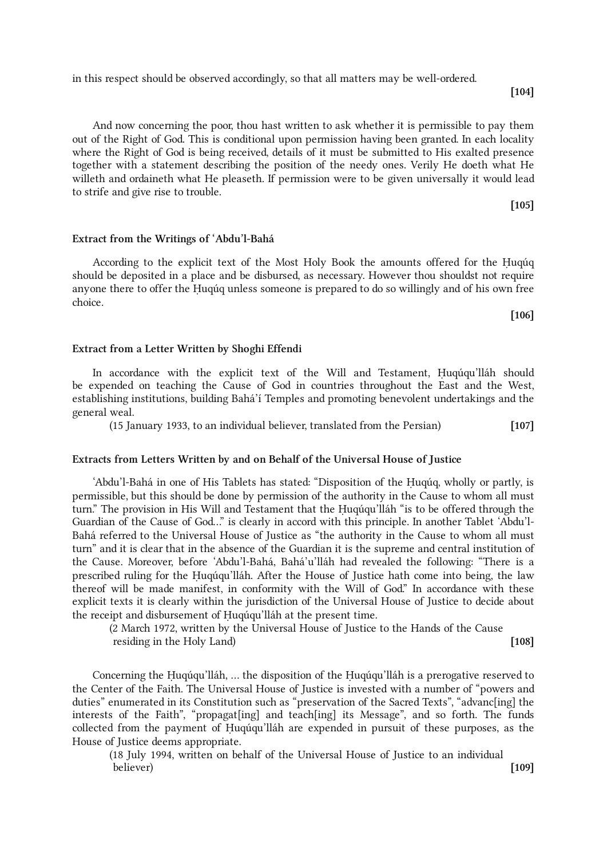in this respect should be observed accordingly, so that all matters may be well-ordered.

And now concerning the poor, thou hast written to ask whether it is permissible to pay them out of the Right of God. This is conditional upon permission having been granted. In each locality where the Right of God is being received, details of it must be submitted to His exalted presence together with a statement describing the position of the needy ones. Verily He doeth what He willeth and ordaineth what He pleaseth. If permission were to be given universally it would lead to strife and give rise to trouble.

[105]

[106]

[104]

#### Extract from the Writings of 'Abdu'l-Bahá

According to the explicit text of the Most Holy Book the amounts offered for the Ḥuqúq should be deposited in a place and be disbursed, as necessary. However thou shouldst not require anyone there to offer the Ḥuqúq unless someone is prepared to do so willingly and of his own free choice.

#### Extract from a Letter Written by Shoghi Effendi

In accordance with the explicit text of the Will and Testament, Ḥuqúqu'lláh should be expended on teaching the Cause of God in countries throughout the East and the West, establishing institutions, building Bahá'í Temples and promoting benevolent undertakings and the general weal.

(15 January 1933, to an individual believer, translated from the Persian) [107]

#### Extracts from Letters Written by and on Behalf of the Universal House of Justice

'Abdu'l-Bahá in one of His Tablets has stated: "Disposition of the Ḥuqúq, wholly or partly, is permissible, but this should be done by permission of the authority in the Cause to whom all must turn." The provision in His Will and Testament that the Ḥuqúqu'lláh "is to be offered through the Guardian of the Cause of God..." is clearly in accord with this principle. In another Tablet 'Abdu'l-Bahá referred to the Universal House of Justice as "the authority in the Cause to whom all must turn" and it is clear that in the absence of the Guardian it is the supreme and central institution of the Cause. Moreover, before 'Abdu'l-Bahá, Bahá'u'lláh had revealed the following: "There is a prescribed ruling for the Ḥuqúqu'lláh. After the House of Justice hath come into being, the law thereof will be made manifest, in conformity with the Will of God." In accordance with these explicit texts it is clearly within the jurisdiction of the Universal House of Justice to decide about the receipt and disbursement of Ḥuqúqu'lláh at the present time.

(2 March 1972, written by the Universal House of Justice to the Hands of the Cause residing in the Holy Land) [108]

Concerning the Ḥuqúqu'lláh, … the disposition of the Ḥuqúqu'lláh is a prerogative reserved to the Center of the Faith. The Universal House of Justice is invested with a number of "powers and duties" enumerated in its Constitution such as "preservation of the Sacred Texts", "advanc[ing] the interests of the Faith", "propagat[ing] and teach[ing] its Message", and so forth. The funds collected from the payment of Ḥuqúqu'lláh are expended in pursuit of these purposes, as the House of Justice deems appropriate.

(18 July 1994, written on behalf of the Universal House of Justice to an individual believer) [109]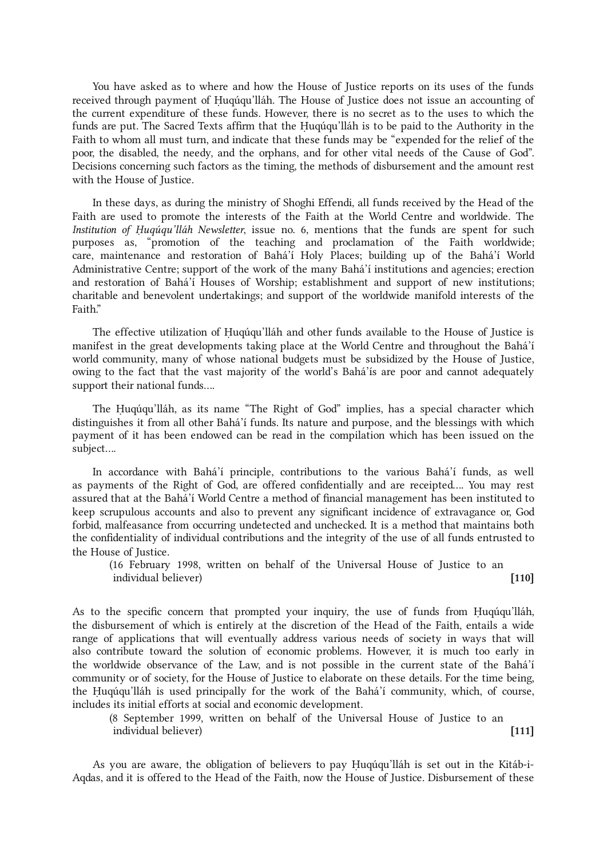You have asked as to where and how the House of Justice reports on its uses of the funds received through payment of Ḥuqúqu'lláh. The House of Justice does not issue an accounting of the current expenditure of these funds. However, there is no secret as to the uses to which the funds are put. The Sacred Texts affirm that the Ḥuqúqu'lláh is to be paid to the Authority in the Faith to whom all must turn, and indicate that these funds may be "expended for the relief of the poor, the disabled, the needy, and the orphans, and for other vital needs of the Cause of God". Decisions concerning such factors as the timing, the methods of disbursement and the amount rest with the House of Justice.

In these days, as during the ministry of Shoghi Effendi, all funds received by the Head of the Faith are used to promote the interests of the Faith at the World Centre and worldwide. The Institution of Huququ'lláh Newsletter, issue no. 6, mentions that the funds are spent for such purposes as, "promotion of the teaching and proclamation of the Faith worldwide; care, maintenance and restoration of Bahá'í Holy Places; building up of the Bahá'í World Administrative Centre; support of the work of the many Bahá'í institutions and agencies; erection and restoration of Bahá'í Houses of Worship; establishment and support of new institutions; charitable and benevolent undertakings; and support of the worldwide manifold interests of the Faith."

The effective utilization of Ḥuqúqu'lláh and other funds available to the House of Justice is manifest in the great developments taking place at the World Centre and throughout the Bahá'í world community, many of whose national budgets must be subsidized by the House of Justice, owing to the fact that the vast majority of the world's Bahá'ís are poor and cannot adequately support their national funds….

The Ḥuqúqu'lláh, as its name "The Right of God" implies, has a special character which distinguishes it from all other Bahá'í funds. Its nature and purpose, and the blessings with which payment of it has been endowed can be read in the compilation which has been issued on the subject….

In accordance with Bahá'í principle, contributions to the various Bahá'í funds, as well as payments of the Right of God, are offered confidentially and are receipted…. You may rest assured that at the Bahá'í World Centre a method of financial management has been instituted to keep scrupulous accounts and also to prevent any significant incidence of extravagance or, God forbid, malfeasance from occurring undetected and unchecked. It is a method that maintains both the confidentiality of individual contributions and the integrity of the use of all funds entrusted to the House of Justice.

(16 February 1998, written on behalf of the Universal House of Justice to an individual believer) [110]

As to the specific concern that prompted your inquiry, the use of funds from Ḥuqúqu'lláh, the disbursement of which is entirely at the discretion of the Head of the Faith, entails a wide range of applications that will eventually address various needs of society in ways that will also contribute toward the solution of economic problems. However, it is much too early in the worldwide observance of the Law, and is not possible in the current state of the Bahá'í community or of society, for the House of Justice to elaborate on these details. For the time being, the Ḥuqúqu'lláh is used principally for the work of the Bahá'í community, which, of course, includes its initial efforts at social and economic development.

(8 September 1999, written on behalf of the Universal House of Justice to an individual believer) [111]

As you are aware, the obligation of believers to pay Ḥuqúqu'lláh is set out in the Kitáb-i-Aqdas, and it is offered to the Head of the Faith, now the House of Justice. Disbursement of these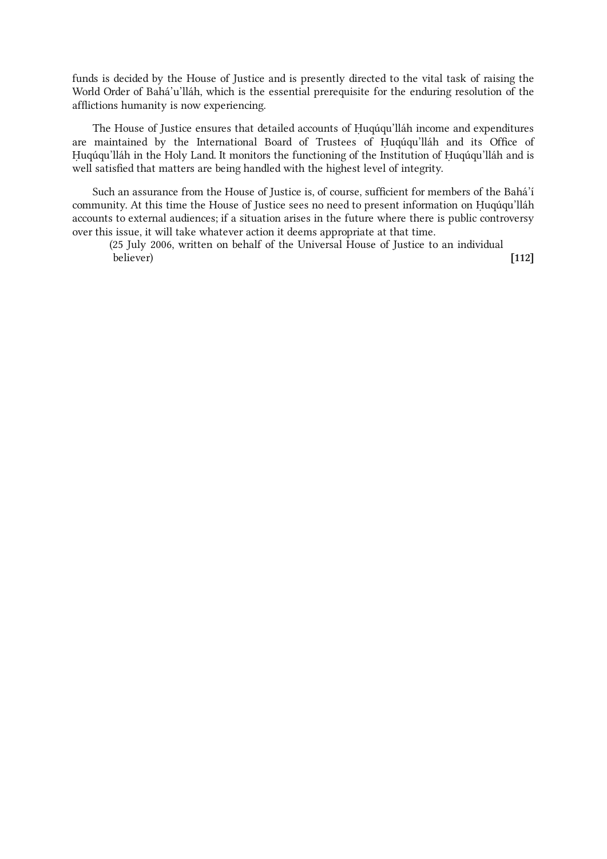funds is decided by the House of Justice and is presently directed to the vital task of raising the World Order of Bahá'u'lláh, which is the essential prerequisite for the enduring resolution of the afflictions humanity is now experiencing.

The House of Justice ensures that detailed accounts of Ḥuqúqu'lláh income and expenditures are maintained by the International Board of Trustees of Ḥuqúqu'lláh and its Office of Ḥuqúqu'lláh in the Holy Land. It monitors the functioning of the Institution of Ḥuqúqu'lláh and is well satisfied that matters are being handled with the highest level of integrity.

Such an assurance from the House of Justice is, of course, sufficient for members of the Bahá'í community. At this time the House of Justice sees no need to present information on Ḥuqúqu'lláh accounts to external audiences; if a situation arises in the future where there is public controversy over this issue, it will take whatever action it deems appropriate at that time.

(25 July 2006, written on behalf of the Universal House of Justice to an individual believer) [112]